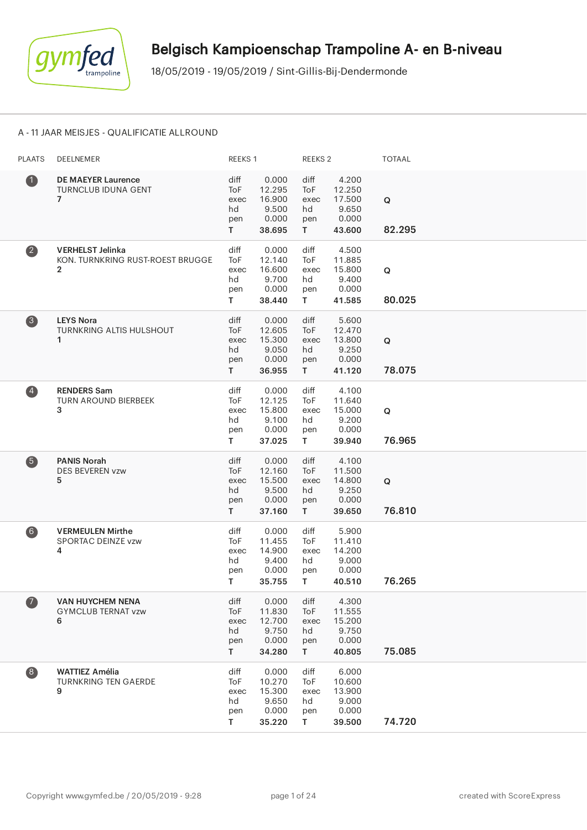

## A - 11 JAAR MEISJES - QUALIFICATIE ALLROUND

| <b>PLAATS</b>         | DEELNEMER                                                                     | REEKS 1                                |                                                       | REEKS <sub>2</sub>                     |                                                       | <b>TOTAAL</b>         |
|-----------------------|-------------------------------------------------------------------------------|----------------------------------------|-------------------------------------------------------|----------------------------------------|-------------------------------------------------------|-----------------------|
| $\bullet$             | <b>DE MAEYER Laurence</b><br><b>TURNCLUB IDUNA GENT</b><br>$\overline{7}$     | diff<br>ToF<br>exec<br>hd<br>pen<br>T. | 0.000<br>12.295<br>16.900<br>9.500<br>0.000<br>38.695 | diff<br>ToF<br>exec<br>hd<br>pen<br>T. | 4.200<br>12.250<br>17.500<br>9.650<br>0.000<br>43.600 | $\mathsf Q$<br>82.295 |
| $\boldsymbol{2}$      | <b>VERHELST Jelinka</b><br>KON. TURNKRING RUST-ROEST BRUGGE<br>$\overline{2}$ | diff<br>ToF<br>exec<br>hd<br>pen<br>T. | 0.000<br>12.140<br>16.600<br>9.700<br>0.000<br>38.440 | diff<br>ToF<br>exec<br>hd<br>pen<br>T. | 4.500<br>11.885<br>15.800<br>9.400<br>0.000<br>41.585 | Q<br>80.025           |
| 8                     | <b>LEYS Nora</b><br><b>TURNKRING ALTIS HULSHOUT</b><br>1                      | diff<br>ToF<br>exec<br>hd<br>pen<br>T. | 0.000<br>12.605<br>15.300<br>9.050<br>0.000<br>36.955 | diff<br>ToF<br>exec<br>hd<br>pen<br>T. | 5.600<br>12.470<br>13.800<br>9.250<br>0.000<br>41.120 | $\mathsf Q$<br>78.075 |
| $\overline{4}$        | <b>RENDERS Sam</b><br><b>TURN AROUND BIERBEEK</b><br>3                        | diff<br>ToF<br>exec<br>hd<br>pen<br>T. | 0.000<br>12.125<br>15.800<br>9.100<br>0.000<br>37.025 | diff<br>ToF<br>exec<br>hd<br>pen<br>T. | 4.100<br>11.640<br>15.000<br>9.200<br>0.000<br>39.940 | Q<br>76.965           |
| 6                     | <b>PANIS Norah</b><br><b>DES BEVEREN vzw</b><br>5                             | diff<br>ToF<br>exec<br>hd<br>pen<br>T. | 0.000<br>12.160<br>15.500<br>9.500<br>0.000<br>37.160 | diff<br>ToF<br>exec<br>hd<br>pen<br>T. | 4.100<br>11.500<br>14.800<br>9.250<br>0.000<br>39.650 | Q<br>76.810           |
| $6$                   | <b>VERMEULEN Mirthe</b><br>SPORTAC DEINZE vzw<br>4                            | diff<br>ToF<br>exec<br>hd<br>pen<br>T. | 0.000<br>11.455<br>14.900<br>9.400<br>0.000<br>35.755 | diff<br>ToF<br>exec<br>hd<br>pen<br>T. | 5.900<br>11.410<br>14.200<br>9.000<br>0.000<br>40.510 | 76.265                |
| $\boldsymbol{\sigma}$ | <b>VAN HUYCHEM NENA</b><br><b>GYMCLUB TERNAT vzw</b><br>6                     | diff<br>ToF<br>exec<br>hd<br>pen<br>T. | 0.000<br>11.830<br>12.700<br>9.750<br>0.000<br>34.280 | diff<br>ToF<br>exec<br>hd<br>pen<br>T. | 4.300<br>11.555<br>15.200<br>9.750<br>0.000<br>40.805 | 75.085                |
| $\bullet$             | <b>WATTIEZ Amélia</b><br><b>TURNKRING TEN GAERDE</b><br>9                     | diff<br>ToF<br>exec<br>hd<br>pen<br>T  | 0.000<br>10.270<br>15.300<br>9.650<br>0.000<br>35.220 | diff<br>ToF<br>exec<br>hd<br>pen<br>T. | 6.000<br>10.600<br>13.900<br>9.000<br>0.000<br>39.500 | 74.720                |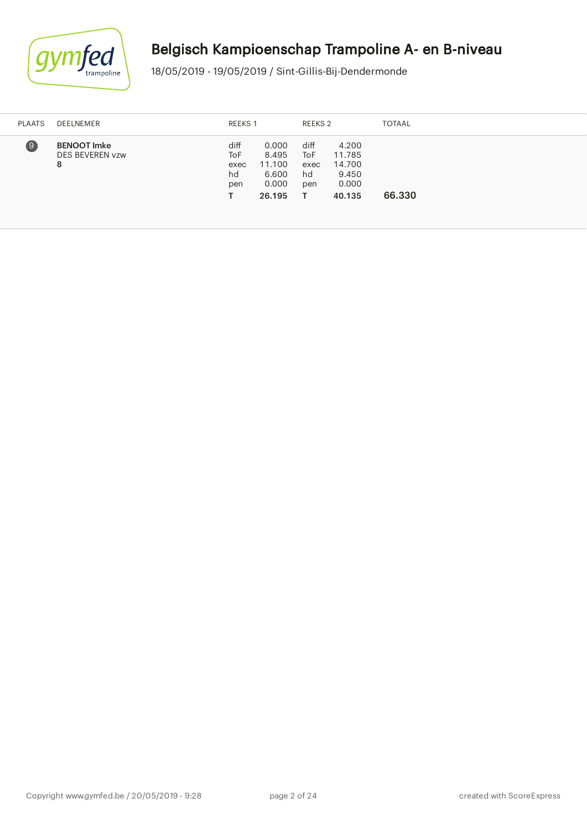

# Belgisch Kampioenschap Trampoline A- en B-niveau

18/05/2019 - 19/05/2019 / Sint-Gillis-Bij-Dendermonde

| <b>PLAATS</b>    | DEELNEMER                                         | REEKS 1                          |                                                      | REEKS 2                               |                                                       | <b>TOTAAL</b> |
|------------------|---------------------------------------------------|----------------------------------|------------------------------------------------------|---------------------------------------|-------------------------------------------------------|---------------|
| $\left(9\right)$ | <b>BENOOT Imke</b><br><b>DES BEVEREN vzw</b><br>8 | diff<br>ToF<br>exec<br>hd<br>pen | 0.000<br>8.495<br>11.100<br>6.600<br>0.000<br>26.195 | diff<br>ToF<br>exec<br>hd<br>pen<br>т | 4.200<br>11.785<br>14.700<br>9.450<br>0.000<br>40.135 | 66.330        |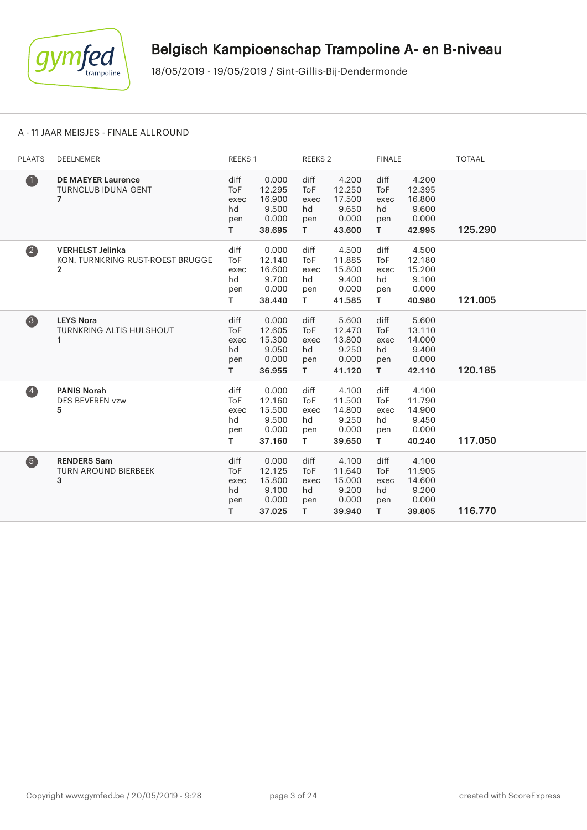

#### A - 11 JAAR MEISJES - FINALE ALLROUND

| <b>PLAATS</b>  | <b>DEELNEMER</b>                                                              | REEKS 1                                       |                                                       | <b>REEKS 2</b>                                |                                                       | <b>FINALE</b>                                      |                                                       | <b>TOTAAL</b> |
|----------------|-------------------------------------------------------------------------------|-----------------------------------------------|-------------------------------------------------------|-----------------------------------------------|-------------------------------------------------------|----------------------------------------------------|-------------------------------------------------------|---------------|
| $\bullet$      | <b>DE MAEYER Laurence</b><br><b>TURNCLUB IDUNA GENT</b><br>$\overline{7}$     | diff<br>ToF<br>exec<br>hd<br>pen<br>T.        | 0.000<br>12.295<br>16.900<br>9.500<br>0.000<br>38.695 | diff<br>ToF<br>exec<br>hd<br>pen<br>T.        | 4.200<br>12.250<br>17.500<br>9.650<br>0.000<br>43.600 | diff<br><b>ToF</b><br>exec<br>hd<br>pen<br>T.      | 4.200<br>12.395<br>16.800<br>9.600<br>0.000<br>42.995 | 125.290       |
| $\bullet$      | <b>VERHELST Jelinka</b><br>KON. TURNKRING RUST-ROEST BRUGGE<br>$\overline{2}$ | diff<br><b>ToF</b><br>exec<br>hd<br>pen<br>T. | 0.000<br>12.140<br>16.600<br>9.700<br>0.000<br>38.440 | diff<br><b>ToF</b><br>exec<br>hd<br>pen<br>T. | 4.500<br>11.885<br>15.800<br>9.400<br>0.000<br>41.585 | diff<br>To <sub>F</sub><br>exec<br>hd<br>pen<br>T. | 4.500<br>12.180<br>15.200<br>9.100<br>0.000<br>40.980 | 121.005       |
| 3              | <b>LEYS Nora</b><br><b>TURNKRING ALTIS HULSHOUT</b><br>1                      | diff<br>ToF<br>exec<br>hd<br>pen<br>т         | 0.000<br>12.605<br>15.300<br>9.050<br>0.000<br>36.955 | diff<br><b>ToF</b><br>exec<br>hd<br>pen<br>T. | 5.600<br>12.470<br>13.800<br>9.250<br>0.000<br>41.120 | diff<br><b>ToF</b><br>exec<br>hd<br>pen<br>T.      | 5.600<br>13.110<br>14.000<br>9.400<br>0.000<br>42.110 | 120.185       |
| $\overline{4}$ | <b>PANIS Norah</b><br><b>DES BEVEREN vzw</b><br>5                             | diff<br>ToF<br>exec<br>hd<br>pen<br>T.        | 0.000<br>12.160<br>15.500<br>9.500<br>0.000<br>37.160 | diff<br><b>ToF</b><br>exec<br>hd<br>pen<br>T. | 4.100<br>11.500<br>14.800<br>9.250<br>0.000<br>39.650 | diff<br><b>ToF</b><br>exec<br>hd<br>pen<br>T.      | 4.100<br>11.790<br>14.900<br>9.450<br>0.000<br>40.240 | 117.050       |
| 6              | <b>RENDERS Sam</b><br><b>TURN AROUND BIERBEEK</b><br>3                        | diff<br><b>ToF</b><br>exec<br>hd<br>pen<br>T. | 0.000<br>12.125<br>15.800<br>9.100<br>0.000<br>37.025 | diff<br><b>ToF</b><br>exec<br>hd<br>pen<br>T. | 4.100<br>11.640<br>15.000<br>9.200<br>0.000<br>39.940 | diff<br><b>ToF</b><br>exec<br>hd<br>pen<br>T.      | 4.100<br>11.905<br>14.600<br>9.200<br>0.000<br>39.805 | 116.770       |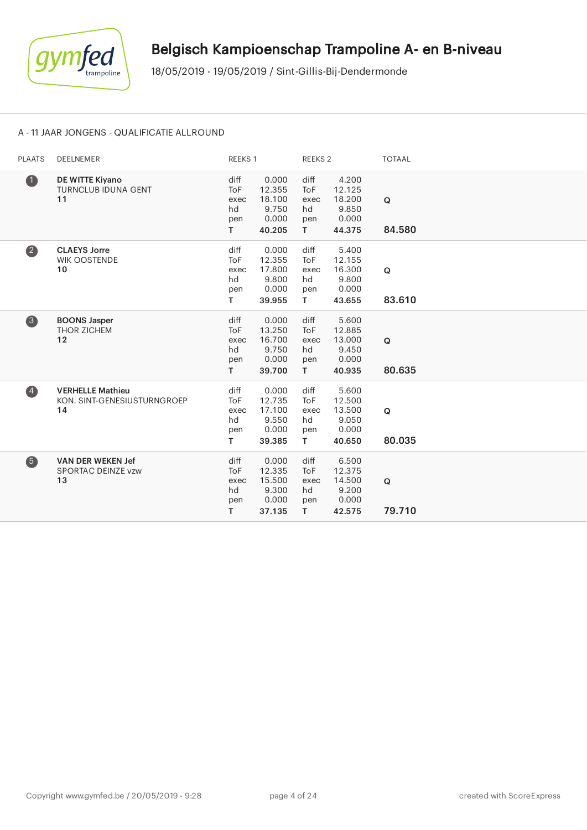

## A - 11 JAAR JONGENS - QUALIFICATIE ALLROUND

| <b>PLAATS</b>           | DEELNEMER                                                    | REEKS 1                                       |                                                       | REEKS 2                                       |                                                       | <b>TOTAAL</b> |
|-------------------------|--------------------------------------------------------------|-----------------------------------------------|-------------------------------------------------------|-----------------------------------------------|-------------------------------------------------------|---------------|
| $\bullet$               | DE WITTE Kiyano<br><b>TURNCLUB IDUNA GENT</b><br>11          | diff<br>ToF<br>exec<br>hd<br>pen<br>T.        | 0.000<br>12.355<br>18.100<br>9.750<br>0.000<br>40.205 | diff<br><b>ToF</b><br>exec<br>hd<br>pen<br>T. | 4.200<br>12.125<br>18.200<br>9.850<br>0.000<br>44.375 | Q<br>84.580   |
| 2                       | <b>CLAEYS Jorre</b><br><b>WIK OOSTENDE</b><br>10             | diff<br>ToF<br>exec<br>hd<br>pen<br>T.        | 0.000<br>12.355<br>17.800<br>9.800<br>0.000<br>39.955 | diff<br>ToF<br>exec<br>hd<br>pen<br>T.        | 5.400<br>12.155<br>16.300<br>9.800<br>0.000<br>43.655 | Q<br>83.610   |
| 8                       | <b>BOONS Jasper</b><br><b>THOR ZICHEM</b><br>12              | diff<br>ToF<br>exec<br>hd<br>pen<br>T.        | 0.000<br>13.250<br>16.700<br>9.750<br>0.000<br>39.700 | diff<br><b>ToF</b><br>exec<br>hd<br>pen<br>T. | 5.600<br>12.885<br>13.000<br>9.450<br>0.000<br>40.935 | Q<br>80.635   |
| $\overline{\mathbf{4}}$ | <b>VERHELLE Mathieu</b><br>KON. SINT-GENESIUSTURNGROEP<br>14 | diff<br>ToF<br>exec<br>hd<br>pen<br>T.        | 0.000<br>12.735<br>17.100<br>9.550<br>0.000<br>39.385 | diff<br><b>ToF</b><br>exec<br>hd<br>pen<br>T. | 5.600<br>12.500<br>13.500<br>9.050<br>0.000<br>40.650 | Q<br>80.035   |
| 6                       | <b>VAN DER WEKEN Jef</b><br>SPORTAC DEINZE vzw<br>13         | diff<br><b>ToF</b><br>exec<br>hd<br>pen<br>T. | 0.000<br>12.335<br>15.500<br>9.300<br>0.000<br>37.135 | diff<br><b>ToF</b><br>exec<br>hd<br>pen<br>T. | 6.500<br>12.375<br>14.500<br>9.200<br>0.000<br>42.575 | Q<br>79.710   |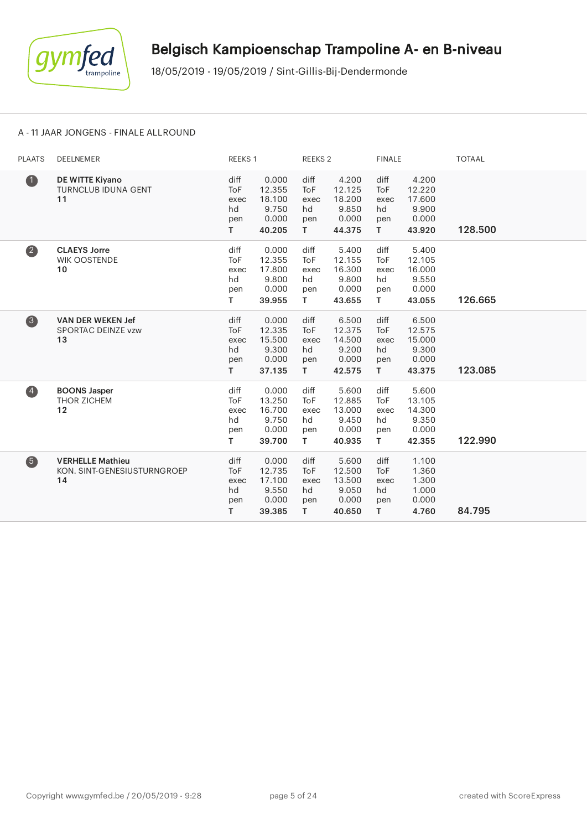

#### A - 11 JAAR JONGENS - FINALE ALLROUND

| <b>PLAATS</b>           | DEELNEMER                                                    | REEKS 1                                |                                                       | <b>REEKS 2</b>                                |                                                       | <b>FINALE</b>                                 |                                                       | <b>TOTAAL</b> |
|-------------------------|--------------------------------------------------------------|----------------------------------------|-------------------------------------------------------|-----------------------------------------------|-------------------------------------------------------|-----------------------------------------------|-------------------------------------------------------|---------------|
| $\bullet$               | DE WITTE Kiyano<br><b>TURNCLUB IDUNA GENT</b><br>11          | diff<br>ToF<br>exec<br>hd<br>pen<br>T. | 0.000<br>12.355<br>18.100<br>9.750<br>0.000<br>40.205 | diff<br><b>ToF</b><br>exec<br>hd<br>pen<br>T. | 4.200<br>12.125<br>18.200<br>9.850<br>0.000<br>44.375 | diff<br>ToF<br>exec<br>hd<br>pen<br>T.        | 4.200<br>12.220<br>17.600<br>9.900<br>0.000<br>43.920 | 128.500       |
| $\bullet$               | <b>CLAEYS Jorre</b><br><b>WIK OOSTENDE</b><br>10             | diff<br>ToF<br>exec<br>hd<br>pen<br>T. | 0.000<br>12.355<br>17.800<br>9.800<br>0.000<br>39.955 | diff<br><b>ToF</b><br>exec<br>hd<br>pen<br>T. | 5.400<br>12.155<br>16.300<br>9.800<br>0.000<br>43.655 | diff<br><b>ToF</b><br>exec<br>hd<br>pen<br>T. | 5.400<br>12.105<br>16.000<br>9.550<br>0.000<br>43.055 | 126.665       |
| 3                       | <b>VAN DER WEKEN Jef</b><br><b>SPORTAC DEINZE vzw</b><br>13  | diff<br>ToF<br>exec<br>hd<br>pen<br>T. | 0.000<br>12.335<br>15.500<br>9.300<br>0.000<br>37.135 | diff<br><b>ToF</b><br>exec<br>hd<br>pen<br>T. | 6.500<br>12.375<br>14.500<br>9.200<br>0.000<br>42.575 | diff<br>ToF<br>exec<br>hd<br>pen<br>T.        | 6.500<br>12.575<br>15.000<br>9.300<br>0.000<br>43.375 | 123.085       |
| $\overline{\mathbf{A}}$ | <b>BOONS Jasper</b><br><b>THOR ZICHEM</b><br>12              | diff<br>ToF<br>exec<br>hd<br>pen<br>T. | 0.000<br>13.250<br>16.700<br>9.750<br>0.000<br>39.700 | diff<br><b>ToF</b><br>exec<br>hd<br>pen<br>T. | 5.600<br>12.885<br>13.000<br>9.450<br>0.000<br>40.935 | diff<br>ToF<br>exec<br>hd<br>pen<br>T.        | 5.600<br>13.105<br>14.300<br>9.350<br>0.000<br>42.355 | 122.990       |
| 6                       | <b>VERHELLE Mathieu</b><br>KON. SINT-GENESIUSTURNGROEP<br>14 | diff<br>ToF<br>exec<br>hd<br>pen<br>T. | 0.000<br>12.735<br>17.100<br>9.550<br>0.000<br>39.385 | diff<br><b>ToF</b><br>exec<br>hd<br>pen<br>T. | 5.600<br>12.500<br>13.500<br>9.050<br>0.000<br>40.650 | diff<br>ToF<br>exec<br>hd<br>pen<br>T.        | 1.100<br>1.360<br>1.300<br>1.000<br>0.000<br>4.760    | 84.795        |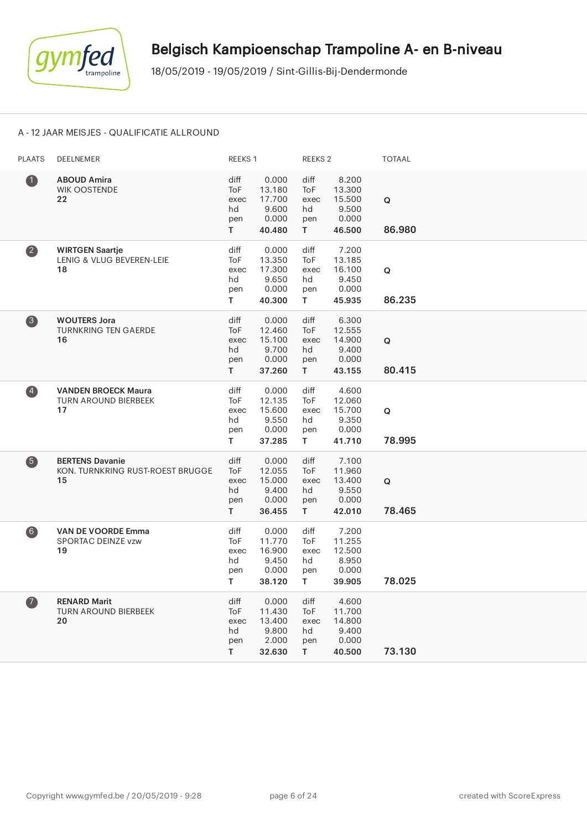

## A - 12 JAAR MEISJES - QUALIFICATIE ALLROUND

| <b>PLAATS</b>           | DEELNEMER                                                        | REEKS 1                                |                                                       | REEKS 2                                       |                                                       | <b>TOTAAL</b>         |
|-------------------------|------------------------------------------------------------------|----------------------------------------|-------------------------------------------------------|-----------------------------------------------|-------------------------------------------------------|-----------------------|
| $\bf 0$                 | <b>ABOUD Amira</b><br><b>WIK OOSTENDE</b><br>22                  | diff<br>ToF<br>exec<br>hd<br>pen<br>T. | 0.000<br>13.180<br>17.700<br>9.600<br>0.000<br>40.480 | diff<br><b>ToF</b><br>exec<br>hd<br>pen<br>T. | 8.200<br>13.300<br>15.500<br>9.500<br>0.000<br>46.500 | $\mathbf Q$<br>86.980 |
| $\overline{\mathbf{2}}$ | <b>WIRTGEN Saartje</b><br>LENIG & VLUG BEVEREN-LEIE<br>18        | diff<br>ToF<br>exec<br>hd<br>pen<br>T. | 0.000<br>13.350<br>17.300<br>9.650<br>0.000<br>40.300 | diff<br>ToF<br>exec<br>hd<br>pen<br>T.        | 7.200<br>13.185<br>16.100<br>9.450<br>0.000<br>45.935 | $\mathbf Q$<br>86.235 |
| 3                       | <b>WOUTERS Jora</b><br><b>TURNKRING TEN GAERDE</b><br>16         | diff<br>ToF<br>exec<br>hd<br>pen<br>T. | 0.000<br>12.460<br>15.100<br>9.700<br>0.000<br>37.260 | diff<br>ToF<br>exec<br>hd<br>pen<br>T.        | 6.300<br>12.555<br>14.900<br>9.400<br>0.000<br>43.155 | Q<br>80.415           |
| $\overline{\mathbf{A}}$ | <b>VANDEN BROECK Maura</b><br><b>TURN AROUND BIERBEEK</b><br>17  | diff<br>ToF<br>exec<br>hd<br>pen<br>T. | 0.000<br>12.135<br>15.600<br>9.550<br>0.000<br>37.285 | diff<br><b>ToF</b><br>exec<br>hd<br>pen<br>T. | 4.600<br>12.060<br>15.700<br>9.350<br>0.000<br>41.710 | Q<br>78.995           |
| 6                       | <b>BERTENS Davanie</b><br>KON. TURNKRING RUST-ROEST BRUGGE<br>15 | diff<br>ToF<br>exec<br>hd<br>pen<br>T. | 0.000<br>12.055<br>15.000<br>9.400<br>0.000<br>36.455 | diff<br><b>ToF</b><br>exec<br>hd<br>pen<br>T. | 7.100<br>11.960<br>13.400<br>9.550<br>0.000<br>42.010 | $\mathbf Q$<br>78.465 |
| 6                       | <b>VAN DE VOORDE Emma</b><br>SPORTAC DEINZE vzw<br>19            | diff<br>ToF<br>exec<br>hd<br>pen<br>T. | 0.000<br>11.770<br>16.900<br>9.450<br>0.000<br>38.120 | diff<br><b>ToF</b><br>exec<br>hd<br>pen<br>T. | 7.200<br>11.255<br>12.500<br>8.950<br>0.000<br>39.905 | 78.025                |
| $\bullet$               | <b>RENARD Marit</b><br><b>TURN AROUND BIERBEEK</b><br>20         | diff<br>ToF<br>exec<br>hd<br>pen<br>T. | 0.000<br>11.430<br>13.400<br>9.800<br>2.000<br>32.630 | diff<br>ToF<br>exec<br>hd<br>pen<br>T.        | 4.600<br>11.700<br>14.800<br>9.400<br>0.000<br>40.500 | 73.130                |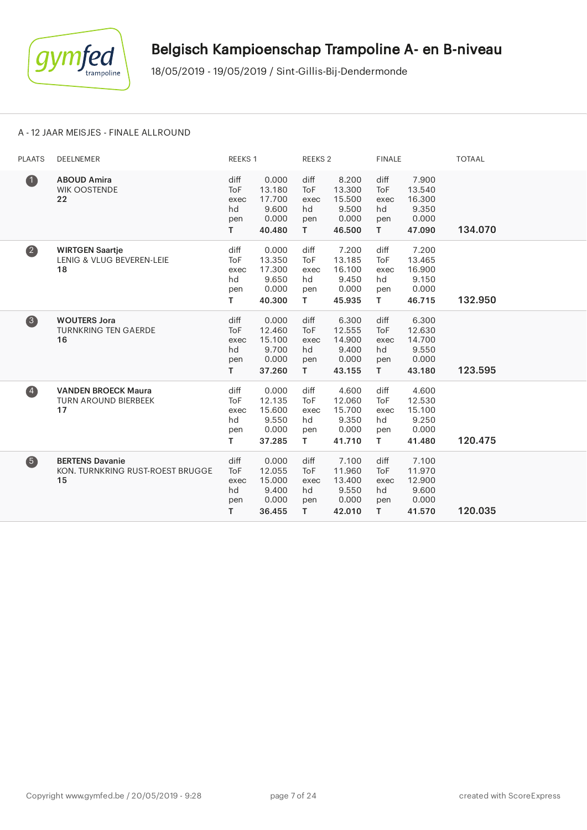

#### A - 12 JAAR MEISJES - FINALE ALLROUND

| <b>PLAATS</b>           | <b>DEELNEMER</b>                                                 | REEKS 1                                |                                                       | <b>REEKS 2</b>                                |                                                       | <b>FINALE</b>                                 |                                                       | <b>TOTAAL</b> |
|-------------------------|------------------------------------------------------------------|----------------------------------------|-------------------------------------------------------|-----------------------------------------------|-------------------------------------------------------|-----------------------------------------------|-------------------------------------------------------|---------------|
| $\bullet$               | <b>ABOUD Amira</b><br><b>WIK OOSTENDE</b><br>22                  | diff<br>ToF<br>exec<br>hd<br>pen<br>T. | 0.000<br>13.180<br>17.700<br>9.600<br>0.000<br>40.480 | diff<br>ToF<br>exec<br>hd<br>pen<br>T.        | 8.200<br>13.300<br>15.500<br>9.500<br>0.000<br>46.500 | diff<br><b>ToF</b><br>exec<br>hd<br>pen<br>T. | 7.900<br>13.540<br>16.300<br>9.350<br>0.000<br>47.090 | 134.070       |
| 2                       | <b>WIRTGEN Saartje</b><br>LENIG & VLUG BEVEREN-LEIE<br>18        | diff<br>ToF<br>exec<br>hd<br>pen<br>T. | 0.000<br>13.350<br>17.300<br>9.650<br>0.000<br>40.300 | diff<br><b>ToF</b><br>exec<br>hd<br>pen<br>T. | 7.200<br>13.185<br>16.100<br>9.450<br>0.000<br>45.935 | diff<br><b>ToF</b><br>exec<br>hd<br>pen<br>T. | 7.200<br>13.465<br>16.900<br>9.150<br>0.000<br>46.715 | 132.950       |
| 8                       | <b>WOUTERS Jora</b><br><b>TURNKRING TEN GAERDE</b><br>16         | diff<br>ToF<br>exec<br>hd<br>pen<br>T. | 0.000<br>12.460<br>15.100<br>9.700<br>0.000<br>37.260 | diff<br><b>ToF</b><br>exec<br>hd<br>pen<br>T. | 6.300<br>12.555<br>14.900<br>9.400<br>0.000<br>43.155 | diff<br><b>ToF</b><br>exec<br>hd<br>pen<br>T. | 6.300<br>12.630<br>14.700<br>9.550<br>0.000<br>43.180 | 123.595       |
| $\overline{\mathbf{A}}$ | <b>VANDEN BROECK Maura</b><br><b>TURN AROUND BIERBEEK</b><br>17  | diff<br>ToF<br>exec<br>hd<br>pen<br>T. | 0.000<br>12.135<br>15.600<br>9.550<br>0.000<br>37.285 | diff<br><b>ToF</b><br>exec<br>hd<br>pen<br>T. | 4.600<br>12.060<br>15.700<br>9.350<br>0.000<br>41.710 | diff<br>ToF<br>exec<br>hd<br>pen<br>T.        | 4.600<br>12.530<br>15.100<br>9.250<br>0.000<br>41.480 | 120.475       |
| 6                       | <b>BERTENS Davanie</b><br>KON. TURNKRING RUST-ROEST BRUGGE<br>15 | diff<br>ToF<br>exec<br>hd<br>pen<br>T. | 0.000<br>12.055<br>15.000<br>9.400<br>0.000<br>36.455 | diff<br><b>ToF</b><br>exec<br>hd<br>pen<br>T. | 7.100<br>11.960<br>13.400<br>9.550<br>0.000<br>42.010 | diff<br>ToF<br>exec<br>hd<br>pen<br>T.        | 7.100<br>11.970<br>12.900<br>9.600<br>0.000<br>41.570 | 120.035       |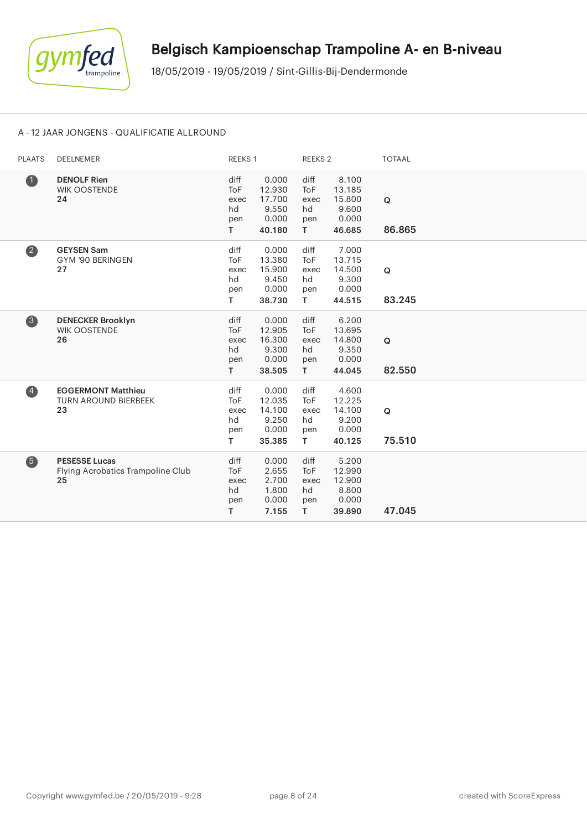

## A - 12 JAAR JONGENS - QUALIFICATIE ALLROUND

| <b>PLAATS</b>           | <b>DEELNEMER</b>                                                | REEKS 1                                       |                                                       | <b>REEKS 2</b>                                |                                                       | <b>TOTAAL</b> |
|-------------------------|-----------------------------------------------------------------|-----------------------------------------------|-------------------------------------------------------|-----------------------------------------------|-------------------------------------------------------|---------------|
| $\bullet$               | <b>DENOLF Rien</b><br>WIK OOSTENDE<br>24                        | diff<br><b>ToF</b><br>exec<br>hd<br>pen<br>T. | 0.000<br>12.930<br>17.700<br>9.550<br>0.000<br>40.180 | diff<br><b>ToF</b><br>exec<br>hd<br>pen<br>T. | 8.100<br>13.185<br>15.800<br>9.600<br>0.000<br>46.685 | Q<br>86.865   |
| 2                       | <b>GEYSEN Sam</b><br>GYM '90 BERINGEN<br>27                     | diff<br>ToF<br>exec<br>hd<br>pen<br>T.        | 0.000<br>13.380<br>15.900<br>9.450<br>0.000<br>38.730 | diff<br><b>ToF</b><br>exec<br>hd<br>pen<br>T. | 7.000<br>13.715<br>14.500<br>9.300<br>0.000<br>44.515 | Q<br>83.245   |
| 3                       | <b>DENECKER Brooklyn</b><br><b>WIK OOSTENDE</b><br>26           | diff<br><b>ToF</b><br>exec<br>hd<br>pen<br>T. | 0.000<br>12.905<br>16.300<br>9.300<br>0.000<br>38.505 | diff<br><b>ToF</b><br>exec<br>hd<br>pen<br>T. | 6.200<br>13.695<br>14.800<br>9.350<br>0.000<br>44.045 | Q<br>82.550   |
| $\overline{\mathbf{A}}$ | <b>EGGERMONT Matthieu</b><br><b>TURN AROUND BIERBEEK</b><br>23  | diff<br>ToF<br>exec<br>hd<br>pen<br>T.        | 0.000<br>12.035<br>14.100<br>9.250<br>0.000<br>35.385 | diff<br><b>ToF</b><br>exec<br>hd<br>pen<br>T  | 4.600<br>12.225<br>14.100<br>9.200<br>0.000<br>40.125 | Q<br>75.510   |
| 6                       | <b>PESESSE Lucas</b><br>Flying Acrobatics Trampoline Club<br>25 | diff<br><b>ToF</b><br>exec<br>hd<br>pen<br>T  | 0.000<br>2.655<br>2.700<br>1.800<br>0.000<br>7.155    | diff<br><b>ToF</b><br>exec<br>hd<br>pen<br>T. | 5.200<br>12.990<br>12.900<br>8.800<br>0.000<br>39.890 | 47.045        |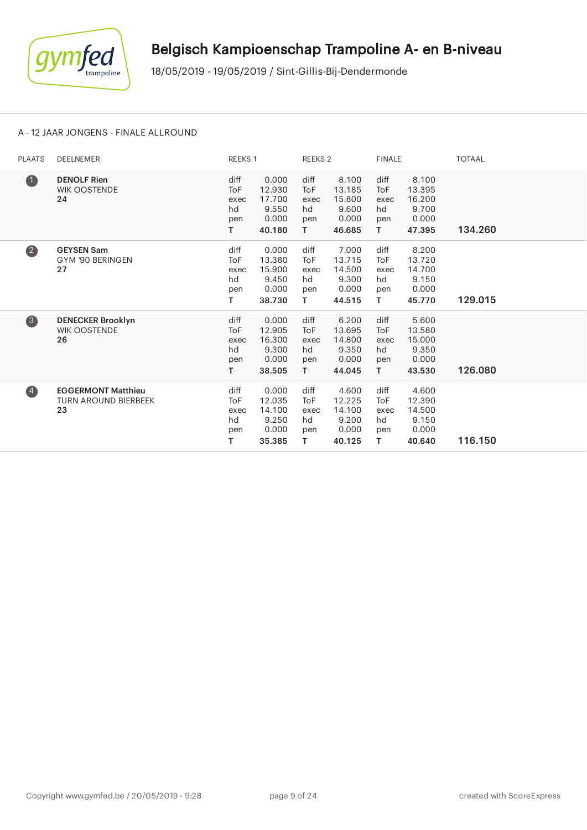

#### A - 12 JAAR JONGENS - FINALE ALLROUND

| <b>PLAATS</b>           | DEELNEMER                                                      | REEKS 1                                       |                                                       | REEKS <sub>2</sub>                            |                                                       | <b>FINALE</b>                                 |                                                       | <b>TOTAAL</b> |
|-------------------------|----------------------------------------------------------------|-----------------------------------------------|-------------------------------------------------------|-----------------------------------------------|-------------------------------------------------------|-----------------------------------------------|-------------------------------------------------------|---------------|
| $\bullet$               | <b>DENOLF Rien</b><br><b>WIK OOSTENDE</b><br>24                | diff<br><b>ToF</b><br>exec<br>hd<br>pen<br>T. | 0.000<br>12.930<br>17.700<br>9.550<br>0.000<br>40.180 | diff<br><b>ToF</b><br>exec<br>hd<br>pen<br>T. | 8.100<br>13.185<br>15.800<br>9.600<br>0.000<br>46.685 | diff<br><b>ToF</b><br>exec<br>hd<br>pen<br>T. | 8.100<br>13.395<br>16.200<br>9.700<br>0.000<br>47.395 | 134.260       |
| $\overline{\mathbf{2}}$ | <b>GEYSEN Sam</b><br>GYM '90 BERINGEN<br>27                    | diff<br>ToF<br>exec<br>hd<br>pen<br>T.        | 0.000<br>13.380<br>15.900<br>9.450<br>0.000<br>38.730 | diff<br><b>ToF</b><br>exec<br>hd<br>pen<br>T. | 7.000<br>13.715<br>14.500<br>9.300<br>0.000<br>44.515 | diff<br><b>ToF</b><br>exec<br>hd<br>pen<br>T. | 8.200<br>13.720<br>14.700<br>9.150<br>0.000<br>45.770 | 129.015       |
| $\bullet$               | <b>DENECKER Brooklyn</b><br><b>WIK OOSTENDE</b><br>26          | diff<br><b>ToF</b><br>exec<br>hd<br>pen<br>T. | 0.000<br>12.905<br>16.300<br>9.300<br>0.000<br>38.505 | diff<br><b>ToF</b><br>exec<br>hd<br>pen<br>T. | 6.200<br>13.695<br>14.800<br>9.350<br>0.000<br>44.045 | diff<br><b>ToF</b><br>exec<br>hd<br>pen<br>T. | 5.600<br>13.580<br>15.000<br>9.350<br>0.000<br>43.530 | 126.080       |
| $\left( 4\right)$       | <b>EGGERMONT Matthieu</b><br><b>TURN AROUND BIERBEEK</b><br>23 | diff<br>ToF<br>exec<br>hd<br>pen<br>т         | 0.000<br>12.035<br>14.100<br>9.250<br>0.000<br>35.385 | diff<br><b>ToF</b><br>exec<br>hd<br>pen<br>т  | 4.600<br>12.225<br>14.100<br>9.200<br>0.000<br>40.125 | diff<br><b>ToF</b><br>exec<br>hd<br>pen<br>т  | 4.600<br>12.390<br>14.500<br>9.150<br>0.000<br>40.640 | 116.150       |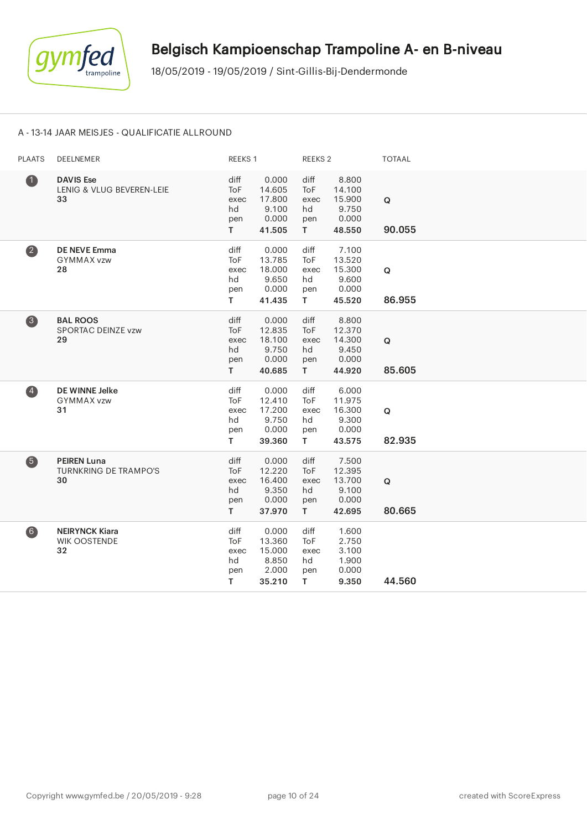

## A - 13-14 JAAR MEISJES - QUALIFICATIE ALLROUND

| <b>PLAATS</b>           | DEELNEMER                                                | REEKS 1                                |                                                       | <b>REEKS 2</b>                         |                                                       | <b>TOTAAL</b> |
|-------------------------|----------------------------------------------------------|----------------------------------------|-------------------------------------------------------|----------------------------------------|-------------------------------------------------------|---------------|
| $\bullet$               | <b>DAVIS Ese</b><br>LENIG & VLUG BEVEREN-LEIE<br>33      | diff<br>ToF<br>exec<br>hd<br>pen<br>T. | 0.000<br>14.605<br>17.800<br>9.100<br>0.000<br>41.505 | diff<br>ToF<br>exec<br>hd<br>pen<br>T. | 8.800<br>14.100<br>15.900<br>9.750<br>0.000<br>48.550 | Q<br>90.055   |
| $\overline{\mathbf{2}}$ | <b>DE NEVE Emma</b><br><b>GYMMAX vzw</b><br>28           | diff<br>ToF<br>exec<br>hd<br>pen<br>T. | 0.000<br>13.785<br>18.000<br>9.650<br>0.000<br>41.435 | diff<br>ToF<br>exec<br>hd<br>pen<br>T. | 7.100<br>13.520<br>15.300<br>9.600<br>0.000<br>45.520 | Q<br>86.955   |
| 3                       | <b>BAL ROOS</b><br><b>SPORTAC DEINZE vzw</b><br>29       | diff<br>ToF<br>exec<br>hd<br>pen<br>T. | 0.000<br>12.835<br>18.100<br>9.750<br>0.000<br>40.685 | diff<br>ToF<br>exec<br>hd<br>pen<br>T. | 8.800<br>12.370<br>14.300<br>9.450<br>0.000<br>44.920 | Q<br>85.605   |
| $\overline{\mathbf{A}}$ | <b>DE WINNE Jelke</b><br>GYMMAX vzw<br>31                | diff<br>ToF<br>exec<br>hd<br>pen<br>T. | 0.000<br>12.410<br>17.200<br>9.750<br>0.000<br>39.360 | diff<br>ToF<br>exec<br>hd<br>pen<br>T. | 6.000<br>11.975<br>16.300<br>9.300<br>0.000<br>43.575 | Q<br>82.935   |
| 6                       | <b>PEIREN Luna</b><br><b>TURNKRING DE TRAMPO'S</b><br>30 | diff<br>ToF<br>exec<br>hd<br>pen<br>T. | 0.000<br>12.220<br>16.400<br>9.350<br>0.000<br>37.970 | diff<br>ToF<br>exec<br>hd<br>pen<br>T. | 7.500<br>12.395<br>13.700<br>9.100<br>0.000<br>42.695 | Q<br>80.665   |
| $6$                     | <b>NEIRYNCK Kiara</b><br>WIK OOSTENDE<br>32              | diff<br>ToF<br>exec<br>hd<br>pen<br>T. | 0.000<br>13.360<br>15.000<br>8.850<br>2.000<br>35.210 | diff<br>ToF<br>exec<br>hd<br>pen<br>T. | 1.600<br>2.750<br>3.100<br>1.900<br>0.000<br>9.350    | 44.560        |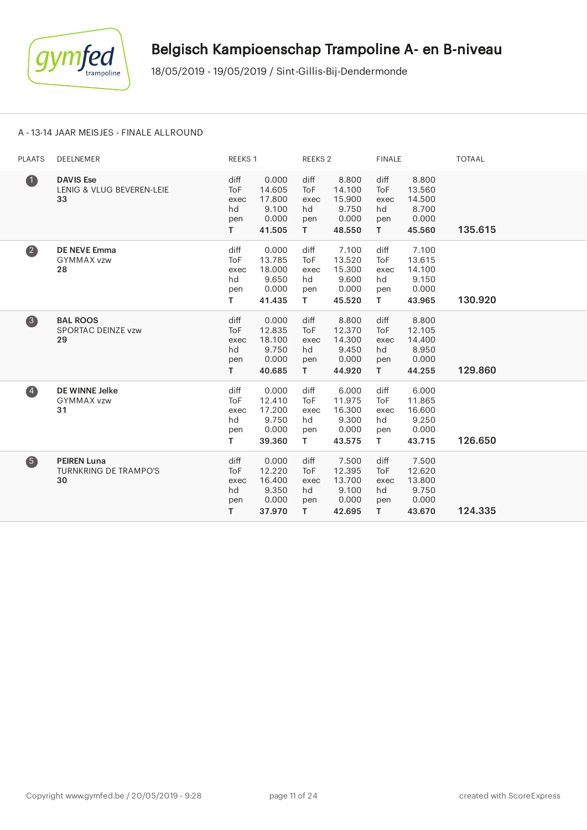

#### A - 13-14 JAAR MEISJES - FINALE ALLROUND

| <b>PLAATS</b>  | <b>DEELNEMER</b>                                         | REEKS 1                                       |                                                       | REEKS <sub>2</sub>                            |                                                       | <b>FINALE</b>                                 |                                                       | <b>TOTAAL</b> |
|----------------|----------------------------------------------------------|-----------------------------------------------|-------------------------------------------------------|-----------------------------------------------|-------------------------------------------------------|-----------------------------------------------|-------------------------------------------------------|---------------|
| $\bf 0$        | <b>DAVIS Ese</b><br>LENIG & VLUG BEVEREN-LEIE<br>33      | diff<br>ToF<br>exec<br>hd<br>pen<br>T.        | 0.000<br>14.605<br>17.800<br>9.100<br>0.000<br>41.505 | diff<br><b>ToF</b><br>exec<br>hd<br>pen<br>T. | 8.800<br>14.100<br>15.900<br>9.750<br>0.000<br>48.550 | diff<br><b>ToF</b><br>exec<br>hd<br>pen<br>T. | 8.800<br>13.560<br>14.500<br>8.700<br>0.000<br>45.560 | 135.615       |
| $\bullet$      | <b>DE NEVE Emma</b><br><b>GYMMAX vzw</b><br>28           | diff<br>ToF<br>exec<br>hd<br>pen<br>T.        | 0.000<br>13.785<br>18.000<br>9.650<br>0.000<br>41.435 | diff<br><b>ToF</b><br>exec<br>hd<br>pen<br>T. | 7.100<br>13.520<br>15.300<br>9.600<br>0.000<br>45.520 | diff<br><b>ToF</b><br>exec<br>hd<br>pen<br>T. | 7.100<br>13.615<br>14.100<br>9.150<br>0.000<br>43.965 | 130.920       |
| 3              | <b>BAL ROOS</b><br><b>SPORTAC DEINZE vzw</b><br>29       | diff<br>ToF<br>exec<br>hd<br>pen<br>т         | 0.000<br>12.835<br>18.100<br>9.750<br>0.000<br>40.685 | diff<br><b>ToF</b><br>exec<br>hd<br>pen<br>T. | 8.800<br>12.370<br>14.300<br>9.450<br>0.000<br>44.920 | diff<br><b>ToF</b><br>exec<br>hd<br>pen<br>T. | 8.800<br>12.105<br>14.400<br>8.950<br>0.000<br>44.255 | 129.860       |
| $\overline{4}$ | <b>DE WINNE Jelke</b><br><b>GYMMAX vzw</b><br>31         | diff<br><b>ToF</b><br>exec<br>hd<br>pen<br>T. | 0.000<br>12.410<br>17.200<br>9.750<br>0.000<br>39.360 | diff<br><b>ToF</b><br>exec<br>hd<br>pen<br>T. | 6.000<br>11.975<br>16.300<br>9.300<br>0.000<br>43.575 | diff<br><b>ToF</b><br>exec<br>hd<br>pen<br>T. | 6.000<br>11.865<br>16.600<br>9.250<br>0.000<br>43.715 | 126.650       |
| 6              | <b>PEIREN Luna</b><br><b>TURNKRING DE TRAMPO'S</b><br>30 | diff<br><b>ToF</b><br>exec<br>hd<br>pen<br>т  | 0.000<br>12.220<br>16.400<br>9.350<br>0.000<br>37.970 | diff<br><b>ToF</b><br>exec<br>hd<br>pen<br>T. | 7.500<br>12.395<br>13.700<br>9.100<br>0.000<br>42.695 | diff<br><b>ToF</b><br>exec<br>hd<br>pen<br>T. | 7.500<br>12.620<br>13.800<br>9.750<br>0.000<br>43.670 | 124.335       |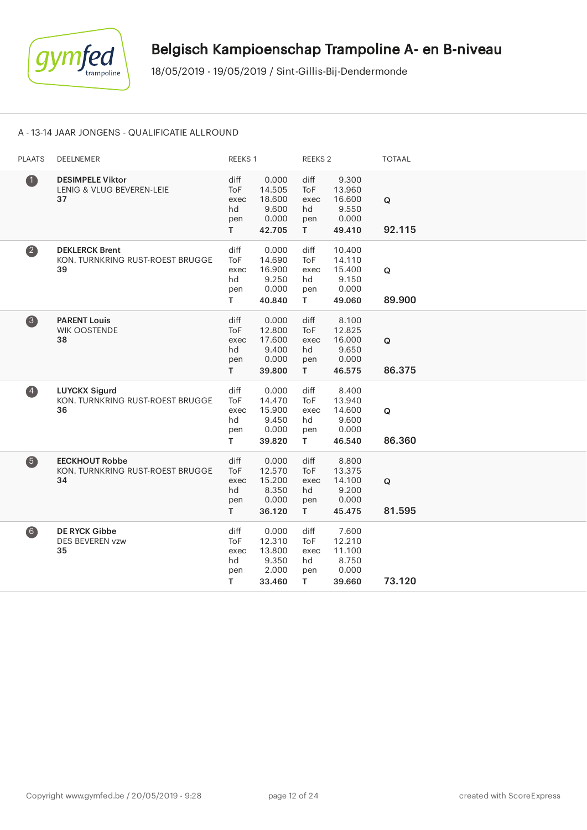

## A - 13-14 JAAR JONGENS - QUALIFICATIE ALLROUND

| <b>PLAATS</b>           | DEELNEMER                                                       | REEKS 1                                       |                                                       | REEKS <sub>2</sub>                            |                                                        | <b>TOTAAL</b>         |
|-------------------------|-----------------------------------------------------------------|-----------------------------------------------|-------------------------------------------------------|-----------------------------------------------|--------------------------------------------------------|-----------------------|
| $\bullet$               | <b>DESIMPELE Viktor</b><br>LENIG & VLUG BEVEREN-LEIE<br>37      | diff<br>ToF<br>exec<br>hd<br>pen<br>T.        | 0.000<br>14.505<br>18.600<br>9.600<br>0.000<br>42.705 | diff<br>ToF<br>exec<br>hd<br>pen<br>T.        | 9.300<br>13.960<br>16.600<br>9.550<br>0.000<br>49.410  | Q<br>92.115           |
| $\overline{\mathbf{2}}$ | <b>DEKLERCK Brent</b><br>KON. TURNKRING RUST-ROEST BRUGGE<br>39 | diff<br>ToF<br>exec<br>hd<br>pen<br>T.        | 0.000<br>14.690<br>16.900<br>9.250<br>0.000<br>40.840 | diff<br>ToF<br>exec<br>hd<br>pen<br>T.        | 10.400<br>14.110<br>15.400<br>9.150<br>0.000<br>49.060 | Q<br>89.900           |
| $\left( 3 \right)$      | <b>PARENT Louis</b><br><b>WIK OOSTENDE</b><br>38                | diff<br>ToF<br>exec<br>hd<br>pen<br>T.        | 0.000<br>12.800<br>17.600<br>9.400<br>0.000<br>39.800 | diff<br>ToF<br>exec<br>hd<br>pen<br>T.        | 8.100<br>12.825<br>16.000<br>9.650<br>0.000<br>46.575  | Q<br>86.375           |
| $\overline{4}$          | <b>LUYCKX Sigurd</b><br>KON. TURNKRING RUST-ROEST BRUGGE<br>36  | diff<br>ToF<br>exec<br>hd<br>pen<br>T.        | 0.000<br>14.470<br>15.900<br>9.450<br>0.000<br>39.820 | diff<br>ToF<br>exec<br>hd<br>pen<br>T.        | 8.400<br>13.940<br>14.600<br>9.600<br>0.000<br>46.540  | $\mathbf Q$<br>86.360 |
| 6                       | <b>EECKHOUT Robbe</b><br>KON. TURNKRING RUST-ROEST BRUGGE<br>34 | diff<br>ToF<br>exec<br>hd<br>pen<br>T.        | 0.000<br>12.570<br>15.200<br>8.350<br>0.000<br>36.120 | diff<br><b>ToF</b><br>exec<br>hd<br>pen<br>T. | 8.800<br>13.375<br>14.100<br>9.200<br>0.000<br>45.475  | $\mathbf Q$<br>81.595 |
| $6$                     | <b>DE RYCK Gibbe</b><br>DES BEVEREN vzw<br>35                   | diff<br><b>ToF</b><br>exec<br>hd<br>pen<br>T. | 0.000<br>12.310<br>13.800<br>9.350<br>2.000<br>33.460 | diff<br>ToF<br>exec<br>hd<br>pen<br>T.        | 7.600<br>12.210<br>11.100<br>8.750<br>0.000<br>39.660  | 73.120                |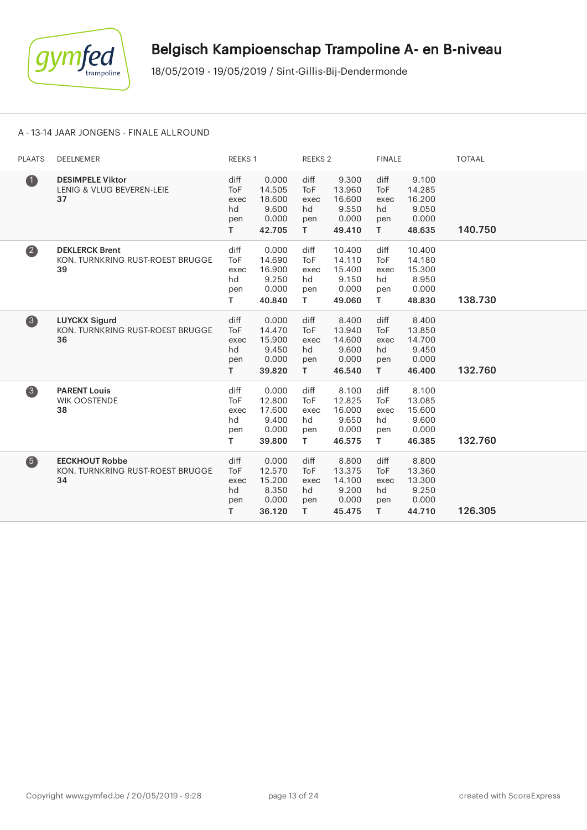

#### A - 13-14 JAAR JONGENS - FINALE ALLROUND

| <b>PLAATS</b>    | <b>DEELNEMER</b>                                                      | REEKS 1                                      |                                                       |                                               | <b>REEKS 2</b>                                         |                                               | <b>FINALE</b>                                          | <b>TOTAAL</b> |
|------------------|-----------------------------------------------------------------------|----------------------------------------------|-------------------------------------------------------|-----------------------------------------------|--------------------------------------------------------|-----------------------------------------------|--------------------------------------------------------|---------------|
| $\bullet$        | <b>DESIMPELE Viktor</b><br><b>LENIG &amp; VLUG BEVEREN-LEIE</b><br>37 | diff<br>ToF<br>exec<br>hd<br>pen<br>T.       | 0.000<br>14.505<br>18.600<br>9.600<br>0.000<br>42.705 | diff<br><b>ToF</b><br>exec<br>hd<br>pen<br>T. | 9.300<br>13.960<br>16.600<br>9.550<br>0.000<br>49.410  | diff<br><b>ToF</b><br>exec<br>hd<br>pen<br>T. | 9.100<br>14.285<br>16.200<br>9.050<br>0.000<br>48.635  | 140.750       |
| 2                | <b>DEKLERCK Brent</b><br>KON. TURNKRING RUST-ROEST BRUGGE<br>39       | diff<br>ToF<br>exec<br>hd<br>pen<br>T        | 0.000<br>14.690<br>16.900<br>9.250<br>0.000<br>40.840 | diff<br><b>ToF</b><br>exec<br>hd<br>pen<br>T. | 10.400<br>14.110<br>15.400<br>9.150<br>0.000<br>49.060 | diff<br><b>ToF</b><br>exec<br>hd<br>pen<br>T. | 10.400<br>14.180<br>15.300<br>8.950<br>0.000<br>48.830 | 138.730       |
| 3                | <b>LUYCKX Sigurd</b><br>KON. TURNKRING RUST-ROEST BRUGGE<br>36        | diff<br><b>ToF</b><br>exec<br>hd<br>pen<br>т | 0.000<br>14.470<br>15.900<br>9.450<br>0.000<br>39.820 | diff<br>ToF<br>exec<br>hd<br>pen<br>T.        | 8.400<br>13.940<br>14.600<br>9.600<br>0.000<br>46.540  | diff<br>ToF<br>exec<br>hd<br>pen<br>T.        | 8.400<br>13.850<br>14.700<br>9.450<br>0.000<br>46.400  | 132.760       |
| $\left(3\right)$ | <b>PARENT Louis</b><br><b>WIK OOSTENDE</b><br>38                      | diff<br>ToF<br>exec<br>hd<br>pen<br>T.       | 0.000<br>12.800<br>17.600<br>9.400<br>0.000<br>39.800 | diff<br><b>ToF</b><br>exec<br>hd<br>pen<br>T. | 8.100<br>12.825<br>16.000<br>9.650<br>0.000<br>46.575  | diff<br><b>ToF</b><br>exec<br>hd<br>pen<br>T. | 8.100<br>13.085<br>15.600<br>9.600<br>0.000<br>46.385  | 132.760       |
| 6                | <b>EECKHOUT Robbe</b><br>KON. TURNKRING RUST-ROEST BRUGGE<br>34       | diff<br>ToF<br>exec<br>hd<br>pen<br>T.       | 0.000<br>12.570<br>15.200<br>8.350<br>0.000<br>36.120 | diff<br><b>ToF</b><br>exec<br>hd<br>pen<br>T. | 8.800<br>13.375<br>14.100<br>9.200<br>0.000<br>45.475  | diff<br><b>ToF</b><br>exec<br>hd<br>pen<br>T. | 8.800<br>13.360<br>13.300<br>9.250<br>0.000<br>44.710  | 126.305       |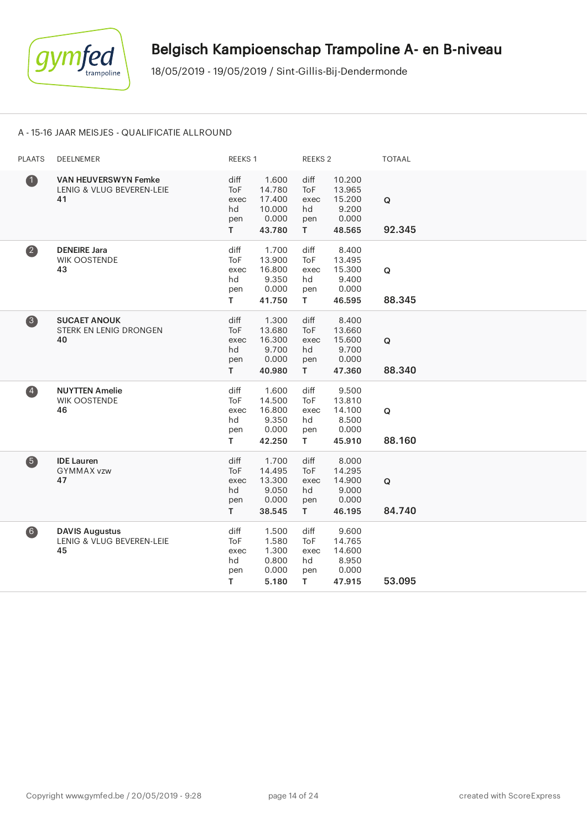

## A - 15-16 JAAR MEISJES - QUALIFICATIE ALLROUND

| <b>PLAATS</b>           | DEELNEMER                                                      | REEKS 1                                |                                                        | <b>REEKS 2</b>                                |                                                        | <b>TOTAAL</b>         |
|-------------------------|----------------------------------------------------------------|----------------------------------------|--------------------------------------------------------|-----------------------------------------------|--------------------------------------------------------|-----------------------|
| $\bullet$               | <b>VAN HEUVERSWYN Femke</b><br>LENIG & VLUG BEVEREN-LEIE<br>41 | diff<br>ToF<br>exec<br>hd<br>pen<br>T. | 1.600<br>14.780<br>17.400<br>10.000<br>0.000<br>43.780 | diff<br>ToF<br>exec<br>hd<br>pen<br>T.        | 10.200<br>13.965<br>15.200<br>9.200<br>0.000<br>48.565 | $\mathbf Q$<br>92.345 |
| $\overline{\mathbf{2}}$ | <b>DENEIRE Jara</b><br>WIK OOSTENDE<br>43                      | diff<br>ToF<br>exec<br>hd<br>pen<br>T. | 1.700<br>13.900<br>16.800<br>9.350<br>0.000<br>41.750  | diff<br>ToF<br>exec<br>hd<br>pen<br>T.        | 8.400<br>13.495<br>15.300<br>9.400<br>0.000<br>46.595  | Q<br>88.345           |
| 3                       | <b>SUCAET ANOUK</b><br><b>STERK EN LENIG DRONGEN</b><br>40     | diff<br>ToF<br>exec<br>hd<br>pen<br>T. | 1.300<br>13.680<br>16.300<br>9.700<br>0.000<br>40.980  | diff<br><b>ToF</b><br>exec<br>hd<br>pen<br>T. | 8.400<br>13.660<br>15.600<br>9.700<br>0.000<br>47.360  | $\mathbf Q$<br>88.340 |
| $\overline{\mathbf{A}}$ | <b>NUYTTEN Amelie</b><br>WIK OOSTENDE<br>46                    | diff<br>ToF<br>exec<br>hd<br>pen<br>T. | 1.600<br>14.500<br>16.800<br>9.350<br>0.000<br>42.250  | diff<br>ToF<br>exec<br>hd<br>pen<br>T.        | 9.500<br>13.810<br>14.100<br>8.500<br>0.000<br>45.910  | $\mathbf Q$<br>88.160 |
| 6                       | <b>IDE Lauren</b><br><b>GYMMAX vzw</b><br>47                   | diff<br>ToF<br>exec<br>hd<br>pen<br>T. | 1.700<br>14.495<br>13.300<br>9.050<br>0.000<br>38.545  | diff<br>ToF<br>exec<br>hd<br>pen<br>T.        | 8.000<br>14.295<br>14.900<br>9.000<br>0.000<br>46.195  | $\mathbf Q$<br>84.740 |
| 6)                      | <b>DAVIS Augustus</b><br>LENIG & VLUG BEVEREN-LEIE<br>45       | diff<br>ToF<br>exec<br>hd<br>pen<br>T. | 1.500<br>1.580<br>1.300<br>0.800<br>0.000<br>5.180     | diff<br>ToF<br>exec<br>hd<br>pen<br>T.        | 9.600<br>14.765<br>14.600<br>8.950<br>0.000<br>47.915  | 53.095                |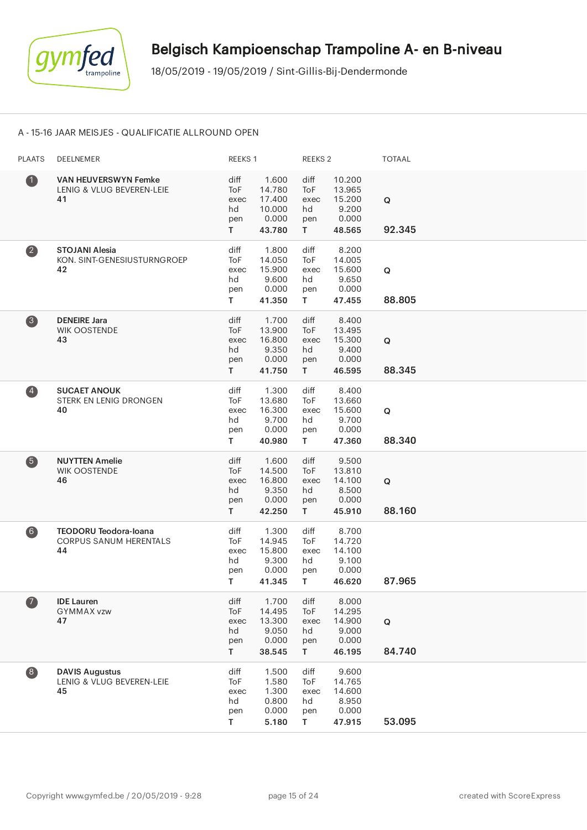

## A - 15-16 JAAR MEISJES - QUALIFICATIE ALLROUND OPEN

| <b>PLAATS</b>     | DEELNEMER                                                      | REEKS 1                                |                                                        | <b>REEKS 2</b>                         |                                                        | <b>TOTAAL</b>         |
|-------------------|----------------------------------------------------------------|----------------------------------------|--------------------------------------------------------|----------------------------------------|--------------------------------------------------------|-----------------------|
| $\bf 0$           | <b>VAN HEUVERSWYN Femke</b><br>LENIG & VLUG BEVEREN-LEIE<br>41 | diff<br>ToF<br>exec<br>hd<br>pen<br>T. | 1.600<br>14.780<br>17.400<br>10.000<br>0.000<br>43.780 | diff<br>ToF<br>exec<br>hd<br>pen<br>T. | 10.200<br>13.965<br>15.200<br>9.200<br>0.000<br>48.565 | Q<br>92.345           |
| $\boldsymbol{2}$  | <b>STOJANI Alesia</b><br>KON. SINT-GENESIUSTURNGROEP<br>42     | diff<br>ToF<br>exec<br>hd<br>pen<br>T  | 1.800<br>14.050<br>15.900<br>9.600<br>0.000<br>41.350  | diff<br>ToF<br>exec<br>hd<br>pen<br>T. | 8.200<br>14.005<br>15.600<br>9.650<br>0.000<br>47.455  | Q<br>88.805           |
| 3                 | <b>DENEIRE Jara</b><br><b>WIK OOSTENDE</b><br>43               | diff<br>ToF<br>exec<br>hd<br>pen<br>T. | 1.700<br>13.900<br>16.800<br>9.350<br>0.000<br>41.750  | diff<br>ToF<br>exec<br>hd<br>pen<br>T. | 8.400<br>13.495<br>15.300<br>9.400<br>0.000<br>46.595  | Q<br>88.345           |
| $\left( 4\right)$ | <b>SUCAET ANOUK</b><br>STERK EN LENIG DRONGEN<br>40            | diff<br>ToF<br>exec<br>hd<br>pen<br>T. | 1.300<br>13.680<br>16.300<br>9.700<br>0.000<br>40.980  | diff<br>ToF<br>exec<br>hd<br>pen<br>T. | 8.400<br>13.660<br>15.600<br>9.700<br>0.000<br>47.360  | ${\bf Q}$<br>88.340   |
| 6                 | <b>NUYTTEN Amelie</b><br><b>WIK OOSTENDE</b><br>46             | diff<br>ToF<br>exec<br>hd<br>pen<br>T. | 1.600<br>14.500<br>16.800<br>9.350<br>0.000<br>42.250  | diff<br>ToF<br>exec<br>hd<br>pen<br>T. | 9.500<br>13.810<br>14.100<br>8.500<br>0.000<br>45.910  | Q<br>88.160           |
| 6)                | <b>TEODORU Teodora-Ioana</b><br>CORPUS SANUM HERENTALS<br>44   | diff<br>ToF<br>exec<br>hd<br>pen<br>T. | 1.300<br>14.945<br>15.800<br>9.300<br>0.000<br>41.345  | diff<br>ToF<br>exec<br>hd<br>pen<br>T. | 8.700<br>14.720<br>14.100<br>9.100<br>0.000<br>46.620  | 87.965                |
| $\bullet$         | <b>IDE Lauren</b><br>GYMMAX vzw<br>47                          | diff<br>ToF<br>exec<br>hd<br>pen<br>T. | 1.700<br>14.495<br>13.300<br>9.050<br>0.000<br>38.545  | diff<br>ToF<br>exec<br>hd<br>pen<br>T. | 8.000<br>14.295<br>14.900<br>9.000<br>0.000<br>46.195  | $\mathsf Q$<br>84.740 |
| 8                 | <b>DAVIS Augustus</b><br>LENIG & VLUG BEVEREN-LEIE<br>45       | diff<br>ToF<br>exec<br>hd<br>pen<br>T. | 1.500<br>1.580<br>1.300<br>0.800<br>0.000<br>5.180     | diff<br>ToF<br>exec<br>hd<br>pen<br>T. | 9.600<br>14.765<br>14.600<br>8.950<br>0.000<br>47.915  | 53.095                |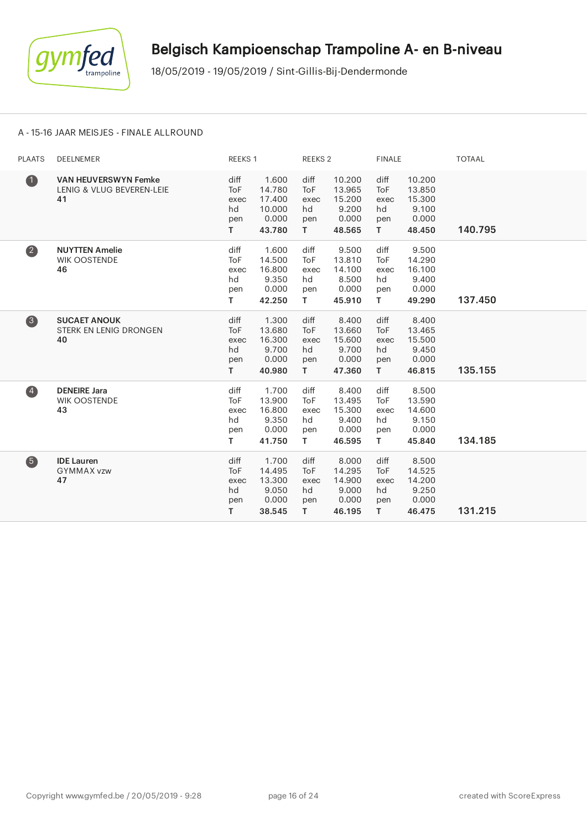

#### A - 15-16 JAAR MEISJES - FINALE ALLROUND

| <b>PLAATS</b>     | <b>DEELNEMER</b>                                               | REEKS 1                                       |                                                        | <b>REEKS 2</b>                                |                                                        | <b>FINALE</b>                                 |                                                        | <b>TOTAAL</b> |
|-------------------|----------------------------------------------------------------|-----------------------------------------------|--------------------------------------------------------|-----------------------------------------------|--------------------------------------------------------|-----------------------------------------------|--------------------------------------------------------|---------------|
| $\bf 0$           | <b>VAN HEUVERSWYN Femke</b><br>LENIG & VLUG BEVEREN-LEIE<br>41 | diff<br><b>ToF</b><br>exec<br>hd<br>pen<br>T. | 1.600<br>14.780<br>17.400<br>10.000<br>0.000<br>43.780 | diff<br><b>ToF</b><br>exec<br>hd<br>pen<br>T. | 10.200<br>13.965<br>15.200<br>9.200<br>0.000<br>48.565 | diff<br><b>ToF</b><br>exec<br>hd<br>pen<br>T. | 10.200<br>13.850<br>15.300<br>9.100<br>0.000<br>48.450 | 140.795       |
| $\bullet$         | <b>NUYTTEN Amelie</b><br><b>WIK OOSTENDE</b><br>46             | diff<br>ToF<br>exec<br>hd<br>pen<br>T.        | 1.600<br>14.500<br>16.800<br>9.350<br>0.000<br>42.250  | diff<br><b>ToF</b><br>exec<br>hd<br>pen<br>T. | 9.500<br>13.810<br>14.100<br>8.500<br>0.000<br>45.910  | diff<br><b>ToF</b><br>exec<br>hd<br>pen<br>T. | 9.500<br>14.290<br>16.100<br>9.400<br>0.000<br>49.290  | 137.450       |
| 3                 | <b>SUCAET ANOUK</b><br><b>STERK EN LENIG DRONGEN</b><br>40     | diff<br>ToF<br>exec<br>hd<br>pen<br>Τ         | 1.300<br>13.680<br>16.300<br>9.700<br>0.000<br>40.980  | diff<br><b>ToF</b><br>exec<br>hd<br>pen<br>T. | 8.400<br>13.660<br>15.600<br>9.700<br>0.000<br>47.360  | diff<br><b>ToF</b><br>exec<br>hd<br>pen<br>T. | 8.400<br>13.465<br>15.500<br>9.450<br>0.000<br>46.815  | 135.155       |
| $\left( 4\right)$ | <b>DENEIRE Jara</b><br><b>WIK OOSTENDE</b><br>43               | diff<br>ToF<br>exec<br>hd<br>pen<br>T.        | 1.700<br>13.900<br>16.800<br>9.350<br>0.000<br>41.750  | diff<br><b>ToF</b><br>exec<br>hd<br>pen<br>T. | 8.400<br>13.495<br>15.300<br>9.400<br>0.000<br>46.595  | diff<br><b>ToF</b><br>exec<br>hd<br>pen<br>T. | 8.500<br>13.590<br>14.600<br>9.150<br>0.000<br>45.840  | 134.185       |
| 6                 | <b>IDE</b> Lauren<br><b>GYMMAX vzw</b><br>47                   | diff<br><b>ToF</b><br>exec<br>hd<br>pen<br>т  | 1.700<br>14.495<br>13.300<br>9.050<br>0.000<br>38.545  | diff<br><b>ToF</b><br>exec<br>hd<br>pen<br>T. | 8.000<br>14.295<br>14.900<br>9.000<br>0.000<br>46.195  | diff<br><b>ToF</b><br>exec<br>hd<br>pen<br>T. | 8.500<br>14.525<br>14.200<br>9.250<br>0.000<br>46.475  | 131.215       |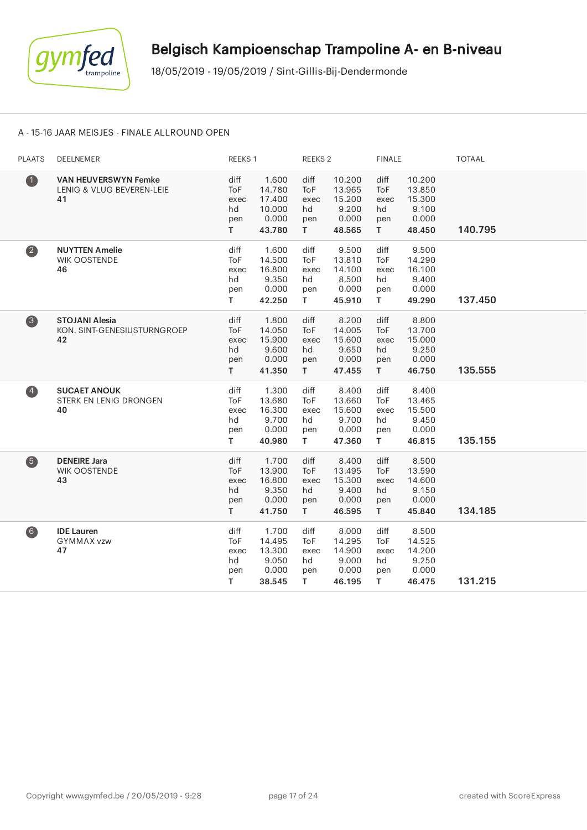

## A - 15-16 JAAR MEISJES - FINALE ALLROUND OPEN

| <b>PLAATS</b>      | DEELNEMER                                                      | REEKS 1                                |                                                        | <b>REEKS 2</b>                         |                                                        | <b>FINALE</b>                                    |                                                        | <b>TOTAAL</b> |
|--------------------|----------------------------------------------------------------|----------------------------------------|--------------------------------------------------------|----------------------------------------|--------------------------------------------------------|--------------------------------------------------|--------------------------------------------------------|---------------|
| $\bf 0$            | <b>VAN HEUVERSWYN Femke</b><br>LENIG & VLUG BEVEREN-LEIE<br>41 | diff<br>ToF<br>exec<br>hd<br>pen<br>T. | 1.600<br>14.780<br>17.400<br>10.000<br>0.000<br>43.780 | diff<br>ToF<br>exec<br>hd<br>pen<br>T. | 10.200<br>13.965<br>15.200<br>9.200<br>0.000<br>48.565 | diff<br>ToF<br>exec<br>hd<br>pen<br>T.           | 10.200<br>13.850<br>15.300<br>9.100<br>0.000<br>48.450 | 140.795       |
| $\left( 2\right)$  | <b>NUYTTEN Amelie</b><br><b>WIK OOSTENDE</b><br>46             | diff<br>ToF<br>exec<br>hd<br>pen<br>T. | 1.600<br>14.500<br>16.800<br>9.350<br>0.000<br>42.250  | diff<br>ToF<br>exec<br>hd<br>pen<br>T. | 9.500<br>13.810<br>14.100<br>8.500<br>0.000<br>45.910  | diff<br>ToF<br>exec<br>hd<br>pen<br>$\mathsf{T}$ | 9.500<br>14.290<br>16.100<br>9.400<br>0.000<br>49.290  | 137.450       |
| $\left( 3 \right)$ | <b>STOJANI Alesia</b><br>KON. SINT-GENESIUSTURNGROEP<br>42     | diff<br>ToF<br>exec<br>hd<br>pen<br>T. | 1.800<br>14.050<br>15.900<br>9.600<br>0.000<br>41.350  | diff<br>ToF<br>exec<br>hd<br>pen<br>T. | 8.200<br>14.005<br>15.600<br>9.650<br>0.000<br>47.455  | diff<br>ToF<br>exec<br>hd<br>pen<br>T.           | 8.800<br>13.700<br>15.000<br>9.250<br>0.000<br>46.750  | 135.555       |
| $\overline{4}$     | <b>SUCAET ANOUK</b><br><b>STERK EN LENIG DRONGEN</b><br>40     | diff<br>ToF<br>exec<br>hd<br>pen<br>T. | 1.300<br>13.680<br>16.300<br>9.700<br>0.000<br>40.980  | diff<br>ToF<br>exec<br>hd<br>pen<br>T. | 8.400<br>13.660<br>15.600<br>9.700<br>0.000<br>47.360  | diff<br>ToF<br>exec<br>hd<br>pen<br>T.           | 8.400<br>13.465<br>15.500<br>9.450<br>0.000<br>46.815  | 135.155       |
| 6                  | <b>DENEIRE Jara</b><br>WIK OOSTENDE<br>43                      | diff<br>ToF<br>exec<br>hd<br>pen<br>T. | 1.700<br>13.900<br>16.800<br>9.350<br>0.000<br>41.750  | diff<br>ToF<br>exec<br>hd<br>pen<br>T. | 8.400<br>13.495<br>15.300<br>9.400<br>0.000<br>46.595  | diff<br><b>ToF</b><br>exec<br>hd<br>pen<br>T.    | 8.500<br>13.590<br>14.600<br>9.150<br>0.000<br>45.840  | 134.185       |
| $6$                | <b>IDE Lauren</b><br><b>GYMMAX vzw</b><br>47                   | diff<br>ToF<br>exec<br>hd<br>pen<br>T. | 1.700<br>14.495<br>13.300<br>9.050<br>0.000<br>38.545  | diff<br>ToF<br>exec<br>hd<br>pen<br>T. | 8.000<br>14.295<br>14.900<br>9.000<br>0.000<br>46.195  | diff<br><b>ToF</b><br>exec<br>hd<br>pen<br>T.    | 8.500<br>14.525<br>14.200<br>9.250<br>0.000<br>46.475  | 131.215       |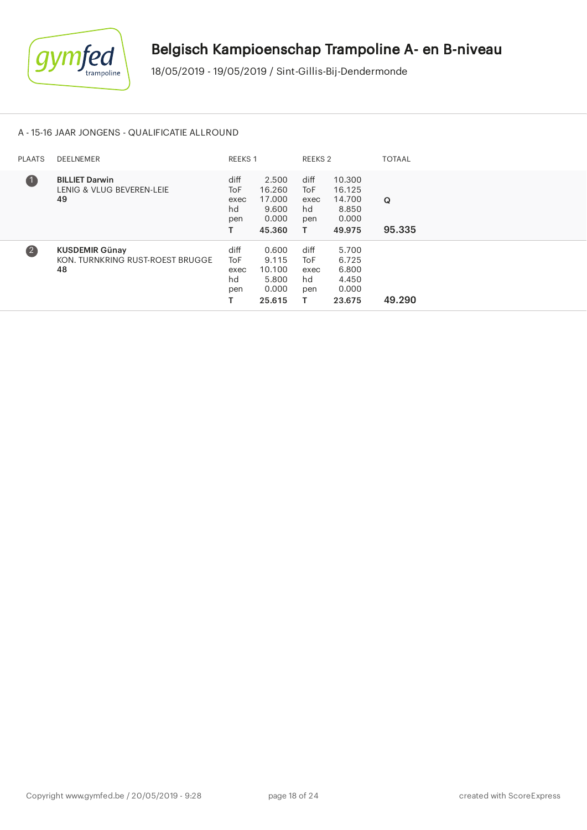

## A - 15-16 JAAR JONGENS - QUALIFICATIE ALLROUND

| <b>PLAATS</b>           | DEELNEMER                                                       | <b>REEKS 1</b>                        |                                                       | REEKS <sub>2</sub>                    |                                                        | <b>TOTAAL</b> |
|-------------------------|-----------------------------------------------------------------|---------------------------------------|-------------------------------------------------------|---------------------------------------|--------------------------------------------------------|---------------|
| $\blacksquare$          | <b>BILLIET Darwin</b><br>LENIG & VLUG BEVEREN-LEIE<br>49        | diff<br>ToF<br>exec<br>hd<br>pen<br>т | 2.500<br>16.260<br>17.000<br>9.600<br>0.000<br>45.360 | diff<br>ToF<br>exec<br>hd<br>pen<br>т | 10.300<br>16.125<br>14.700<br>8.850<br>0.000<br>49.975 | Q<br>95.335   |
| $\overline{\mathbf{2}}$ | <b>KUSDEMIR Günay</b><br>KON. TURNKRING RUST-ROEST BRUGGE<br>48 | diff<br>ToF<br>exec<br>hd<br>pen      | 0.600<br>9.115<br>10.100<br>5.800<br>0.000<br>25.615  | diff<br>ToF<br>exec<br>hd<br>pen      | 5.700<br>6.725<br>6.800<br>4.450<br>0.000<br>23.675    | 49.290        |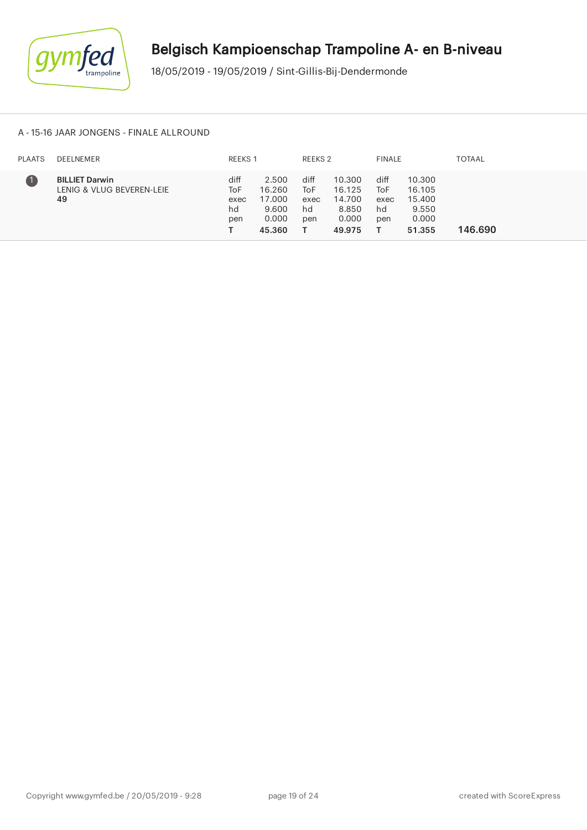

#### A - 15-16 JAAR JONGENS - FINALE ALLROUND

| <b>PLAATS</b> | DEELNEMER                                                | REEKS 1                          |                                                       | REEKS 2                          |                                                        | <b>FINALE</b>                    |                                                        | <b>TOTAAL</b> |
|---------------|----------------------------------------------------------|----------------------------------|-------------------------------------------------------|----------------------------------|--------------------------------------------------------|----------------------------------|--------------------------------------------------------|---------------|
|               | <b>BILLIET Darwin</b><br>LENIG & VLUG BEVEREN-LEIE<br>49 | diff<br>ToF<br>exec<br>hd<br>pen | 2.500<br>16.260<br>17.000<br>9.600<br>0.000<br>45.360 | diff<br>ToF<br>exec<br>hd<br>pen | 10.300<br>16.125<br>14.700<br>8.850<br>0.000<br>49.975 | diff<br>ToF<br>exec<br>hd<br>pen | 10.300<br>16.105<br>15.400<br>9.550<br>0.000<br>51.355 | 146.690       |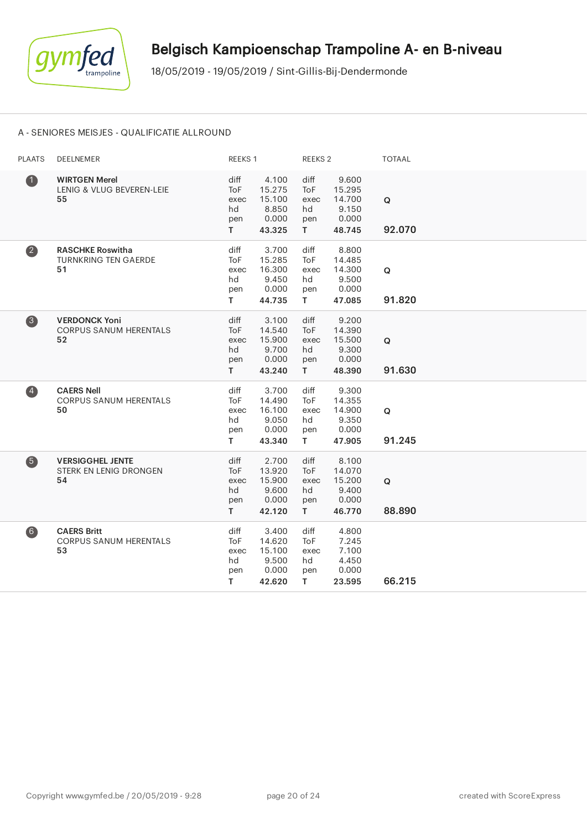

#### A - SENIORES MEISJES - QUALIFICATIE ALLROUND

| <b>PLAATS</b>           | DEELNEMER                                                      | REEKS 1                                       |                                                       | REEKS <sub>2</sub>                            |                                                       | <b>TOTAAL</b> |
|-------------------------|----------------------------------------------------------------|-----------------------------------------------|-------------------------------------------------------|-----------------------------------------------|-------------------------------------------------------|---------------|
| $\bullet$               | <b>WIRTGEN Merel</b><br>LENIG & VLUG BEVEREN-LEIE<br>55        | diff<br>ToF<br>exec<br>hd<br>pen<br>T.        | 4.100<br>15.275<br>15.100<br>8.850<br>0.000<br>43.325 | diff<br>ToF<br>exec<br>hd<br>pen<br>T         | 9.600<br>15.295<br>14.700<br>9.150<br>0.000<br>48.745 | Q<br>92.070   |
| $\overline{\mathbf{2}}$ | <b>RASCHKE Roswitha</b><br><b>TURNKRING TEN GAERDE</b><br>51   | diff<br>ToF<br>exec<br>hd<br>pen<br>T.        | 3.700<br>15.285<br>16.300<br>9.450<br>0.000<br>44.735 | diff<br>ToF<br>exec<br>hd<br>pen<br>T.        | 8.800<br>14.485<br>14.300<br>9.500<br>0.000<br>47.085 | Q<br>91.820   |
| $\left( 3 \right)$      | <b>VERDONCK Yoni</b><br><b>CORPUS SANUM HERENTALS</b><br>52    | diff<br>ToF<br>exec<br>hd<br>pen<br>T.        | 3.100<br>14.540<br>15.900<br>9.700<br>0.000<br>43.240 | diff<br>ToF<br>exec<br>hd<br>pen<br>T.        | 9.200<br>14.390<br>15.500<br>9.300<br>0.000<br>48.390 | Q<br>91.630   |
| $\left( 4\right)$       | <b>CAERS Nell</b><br><b>CORPUS SANUM HERENTALS</b><br>50       | diff<br>ToF<br>exec<br>hd<br>pen<br>T.        | 3.700<br>14.490<br>16.100<br>9.050<br>0.000<br>43.340 | diff<br><b>ToF</b><br>exec<br>hd<br>pen<br>T. | 9.300<br>14.355<br>14.900<br>9.350<br>0.000<br>47.905 | Q<br>91.245   |
| 6                       | <b>VERSIGGHEL JENTE</b><br><b>STERK EN LENIG DRONGEN</b><br>54 | diff<br>ToF<br>exec<br>hd<br>pen<br>T.        | 2.700<br>13.920<br>15.900<br>9.600<br>0.000<br>42.120 | diff<br>ToF<br>exec<br>hd<br>pen<br>T.        | 8.100<br>14.070<br>15.200<br>9.400<br>0.000<br>46.770 | Q<br>88.890   |
| (6)                     | <b>CAERS Britt</b><br><b>CORPUS SANUM HERENTALS</b><br>53      | diff<br><b>ToF</b><br>exec<br>hd<br>pen<br>T. | 3.400<br>14.620<br>15.100<br>9.500<br>0.000<br>42.620 | diff<br>ToF<br>exec<br>hd<br>pen<br>T.        | 4.800<br>7.245<br>7.100<br>4.450<br>0.000<br>23.595   | 66.215        |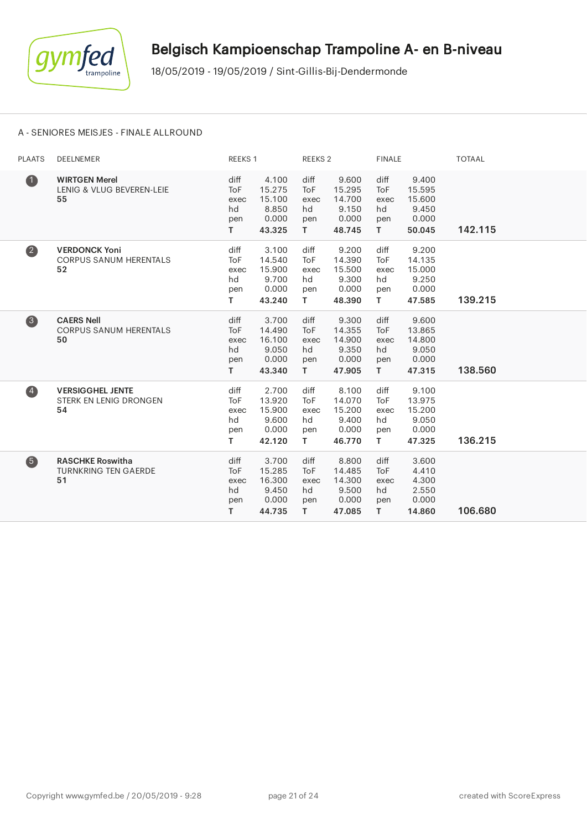

#### A - SENIORES MEISJES - FINALE ALLROUND

| <b>PLAATS</b>           | DEELNEMER                                                          | REEKS 1                                       |                                                       | REEKS <sub>2</sub>                            |                                                       | <b>FINALE</b>                                 |                                                       | <b>TOTAAL</b> |
|-------------------------|--------------------------------------------------------------------|-----------------------------------------------|-------------------------------------------------------|-----------------------------------------------|-------------------------------------------------------|-----------------------------------------------|-------------------------------------------------------|---------------|
| $\bf{O}$                | <b>WIRTGEN Merel</b><br><b>LENIG &amp; VLUG BEVEREN-LEIE</b><br>55 | diff<br><b>ToF</b><br>exec<br>hd<br>pen<br>T. | 4.100<br>15.275<br>15.100<br>8.850<br>0.000<br>43.325 | diff<br><b>ToF</b><br>exec<br>hd<br>pen<br>T. | 9.600<br>15.295<br>14.700<br>9.150<br>0.000<br>48.745 | diff<br><b>ToF</b><br>exec<br>hd<br>pen<br>T. | 9.400<br>15.595<br>15.600<br>9.450<br>0.000<br>50.045 | 142.115       |
| $\overline{\mathbf{2}}$ | <b>VERDONCK Yoni</b><br><b>CORPUS SANUM HERENTALS</b><br>52        | diff<br>ToF<br>exec<br>hd<br>pen<br>T.        | 3.100<br>14.540<br>15.900<br>9.700<br>0.000<br>43.240 | diff<br><b>ToF</b><br>exec<br>hd<br>pen<br>T. | 9.200<br>14.390<br>15.500<br>9.300<br>0.000<br>48.390 | diff<br>ToF<br>exec<br>hd<br>pen<br>T.        | 9.200<br>14.135<br>15.000<br>9.250<br>0.000<br>47.585 | 139.215       |
| 3                       | <b>CAERS Nell</b><br><b>CORPUS SANUM HERENTALS</b><br>50           | diff<br>ToF<br>exec<br>hd<br>pen<br>T.        | 3.700<br>14.490<br>16.100<br>9.050<br>0.000<br>43.340 | diff<br><b>ToF</b><br>exec<br>hd<br>pen<br>T. | 9.300<br>14.355<br>14.900<br>9.350<br>0.000<br>47.905 | diff<br><b>ToF</b><br>exec<br>hd<br>pen<br>T. | 9.600<br>13.865<br>14.800<br>9.050<br>0.000<br>47.315 | 138.560       |
| $\overline{\mathbf{A}}$ | <b>VERSIGGHEL JENTE</b><br><b>STERK EN LENIG DRONGEN</b><br>54     | diff<br>ToF<br>exec<br>hd<br>pen<br>T.        | 2.700<br>13.920<br>15.900<br>9.600<br>0.000<br>42.120 | diff<br><b>ToF</b><br>exec<br>hd<br>pen<br>T. | 8.100<br>14.070<br>15.200<br>9.400<br>0.000<br>46.770 | diff<br><b>ToF</b><br>exec<br>hd<br>pen<br>T. | 9.100<br>13.975<br>15.200<br>9.050<br>0.000<br>47.325 | 136.215       |
| 6                       | <b>RASCHKE Roswitha</b><br><b>TURNKRING TEN GAERDE</b><br>51       | diff<br><b>ToF</b><br>exec<br>hd<br>pen<br>T. | 3.700<br>15.285<br>16.300<br>9.450<br>0.000<br>44.735 | diff<br><b>ToF</b><br>exec<br>hd<br>pen<br>T. | 8.800<br>14.485<br>14.300<br>9.500<br>0.000<br>47.085 | diff<br><b>ToF</b><br>exec<br>hd<br>pen<br>T. | 3.600<br>4.410<br>4.300<br>2.550<br>0.000<br>14.860   | 106.680       |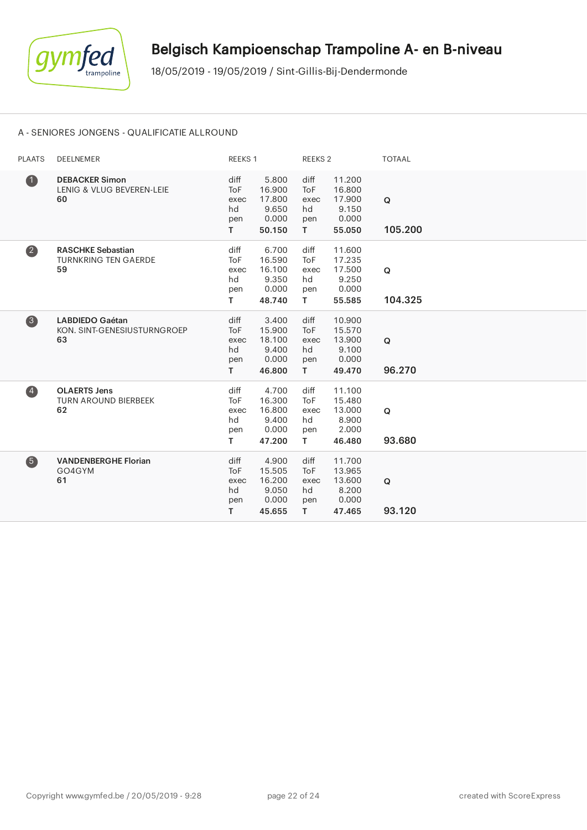

## A - SENIORES JONGENS - QUALIFICATIE ALLROUND

| <b>PLAATS</b>           | DEELNEMER                                                     | REEKS 1                                       |                                                       | <b>REEKS 2</b>                                |                                                        | <b>TOTAAL</b> |
|-------------------------|---------------------------------------------------------------|-----------------------------------------------|-------------------------------------------------------|-----------------------------------------------|--------------------------------------------------------|---------------|
| $\bullet$               | <b>DEBACKER Simon</b><br>LENIG & VLUG BEVEREN-LEIE<br>60      | diff<br><b>ToF</b><br>exec<br>hd<br>pen<br>T. | 5.800<br>16.900<br>17.800<br>9.650<br>0.000<br>50.150 | diff<br><b>ToF</b><br>exec<br>hd<br>pen<br>T. | 11.200<br>16.800<br>17.900<br>9.150<br>0.000<br>55.050 | Q<br>105.200  |
| $\overline{\mathbf{2}}$ | <b>RASCHKE Sebastian</b><br><b>TURNKRING TEN GAERDE</b><br>59 | diff<br><b>ToF</b><br>exec<br>hd<br>pen<br>T. | 6.700<br>16.590<br>16.100<br>9.350<br>0.000<br>48.740 | diff<br><b>ToF</b><br>exec<br>hd<br>pen<br>T. | 11.600<br>17.235<br>17.500<br>9.250<br>0.000<br>55.585 | Q<br>104.325  |
| $\bullet$               | <b>LABDIEDO Gaétan</b><br>KON. SINT-GENESIUSTURNGROEP<br>63   | diff<br>ToF<br>exec<br>hd<br>pen<br>T.        | 3.400<br>15.900<br>18.100<br>9.400<br>0.000<br>46.800 | diff<br><b>ToF</b><br>exec<br>hd<br>pen<br>T. | 10.900<br>15.570<br>13.900<br>9.100<br>0.000<br>49.470 | Q<br>96.270   |
| $\overline{4}$          | <b>OLAERTS Jens</b><br><b>TURN AROUND BIERBEEK</b><br>62      | diff<br>ToF<br>exec<br>hd<br>pen<br>T.        | 4.700<br>16.300<br>16.800<br>9.400<br>0.000<br>47.200 | diff<br><b>ToF</b><br>exec<br>hd<br>pen<br>T. | 11.100<br>15.480<br>13.000<br>8.900<br>2.000<br>46.480 | Q<br>93.680   |
| 6                       | <b>VANDENBERGHE Florian</b><br>GO4GYM<br>61                   | diff<br><b>ToF</b><br>exec<br>hd<br>pen<br>T. | 4.900<br>15.505<br>16.200<br>9.050<br>0.000<br>45.655 | diff<br><b>ToF</b><br>exec<br>hd<br>pen<br>T. | 11.700<br>13.965<br>13.600<br>8.200<br>0.000<br>47.465 | Q<br>93.120   |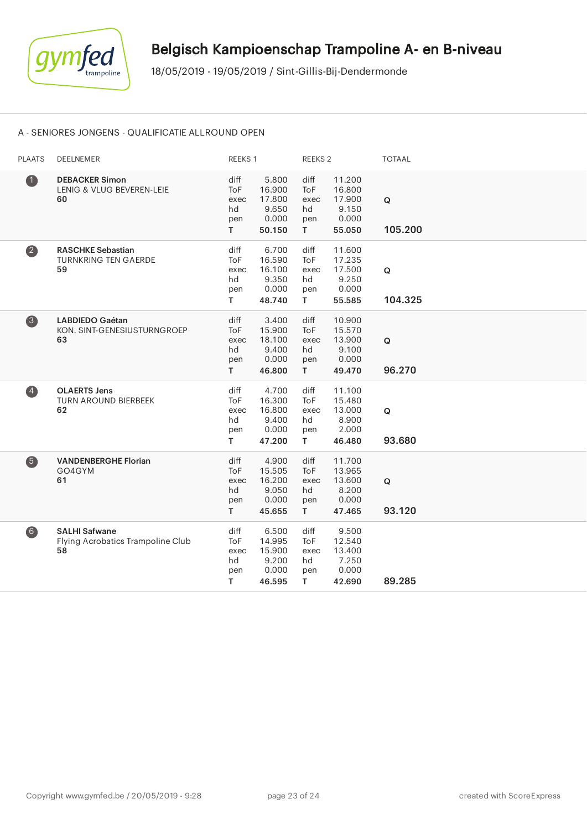

## A - SENIORES JONGENS - QUALIFICATIE ALLROUND OPEN

| <b>PLAATS</b>     | <b>DEELNEMER</b>                                                | <b>REEKS 1</b>                                |                                                       | REEKS <sub>2</sub>                     |                                                        | <b>TOTAAL</b> |
|-------------------|-----------------------------------------------------------------|-----------------------------------------------|-------------------------------------------------------|----------------------------------------|--------------------------------------------------------|---------------|
| $\bullet$         | <b>DEBACKER Simon</b><br>LENIG & VLUG BEVEREN-LEIE<br>60        | diff<br>ToF<br>exec<br>hd<br>pen<br>T.        | 5.800<br>16.900<br>17.800<br>9.650<br>0.000<br>50.150 | diff<br>ToF<br>exec<br>hd<br>pen<br>T. | 11.200<br>16.800<br>17.900<br>9.150<br>0.000<br>55.050 | Q<br>105.200  |
| $\overline{2}$    | <b>RASCHKE Sebastian</b><br><b>TURNKRING TEN GAERDE</b><br>59   | diff<br>ToF<br>exec<br>hd<br>pen<br>T.        | 6.700<br>16.590<br>16.100<br>9.350<br>0.000<br>48.740 | diff<br>ToF<br>exec<br>hd<br>pen<br>T. | 11.600<br>17.235<br>17.500<br>9.250<br>0.000<br>55.585 | Q<br>104.325  |
| $\left(3\right)$  | <b>LABDIEDO Gaétan</b><br>KON. SINT-GENESIUSTURNGROEP<br>63     | diff<br>ToF<br>exec<br>hd<br>pen<br>T.        | 3.400<br>15.900<br>18.100<br>9.400<br>0.000<br>46.800 | diff<br>ToF<br>exec<br>hd<br>pen<br>T. | 10.900<br>15.570<br>13.900<br>9.100<br>0.000<br>49.470 | Q<br>96.270   |
| $\left( 4\right)$ | <b>OLAERTS Jens</b><br>TURN AROUND BIERBEEK<br>62               | diff<br><b>ToF</b><br>exec<br>hd<br>pen<br>T. | 4.700<br>16.300<br>16.800<br>9.400<br>0.000<br>47.200 | diff<br>ToF<br>exec<br>hd<br>pen<br>T. | 11.100<br>15.480<br>13.000<br>8.900<br>2.000<br>46.480 | Q<br>93.680   |
| 6                 | <b>VANDENBERGHE Florian</b><br>GO4GYM<br>61                     | diff<br><b>ToF</b><br>exec<br>hd<br>pen<br>T. | 4.900<br>15.505<br>16.200<br>9.050<br>0.000<br>45.655 | diff<br>ToF<br>exec<br>hd<br>pen<br>T. | 11.700<br>13.965<br>13.600<br>8.200<br>0.000<br>47.465 | Q<br>93.120   |
| $\left( 6\right)$ | <b>SALHI Safwane</b><br>Flying Acrobatics Trampoline Club<br>58 | diff<br>ToF<br>exec<br>hd<br>pen<br>T.        | 6.500<br>14.995<br>15.900<br>9.200<br>0.000<br>46.595 | diff<br>ToF<br>exec<br>hd<br>pen<br>T. | 9.500<br>12.540<br>13.400<br>7.250<br>0.000<br>42.690  | 89.285        |